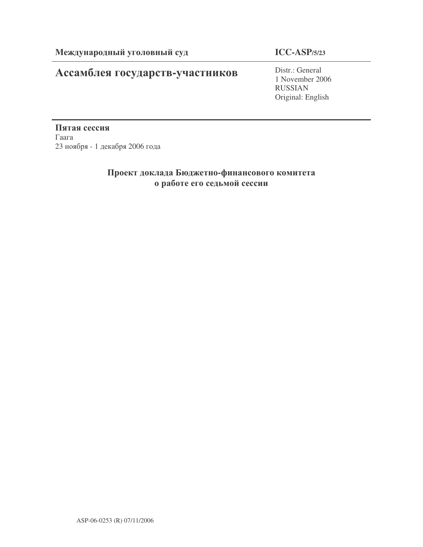# Ассамблея государств-участников

# **ICC-ASP/5/23**

Distr.: General 1 November 2006 RUSSIAN Original: English

Пятая сессия  $\Gamma$ аага 23 ноября - 1 декабря 2006 года

# Проект доклада Бюджетно-финансового комитета о работе его седьмой сессии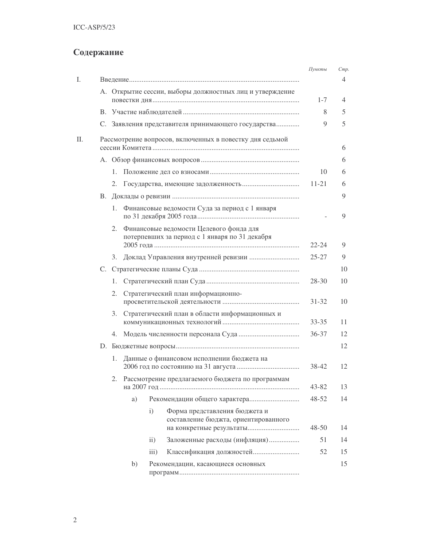# Содержание

|    |                                                          |                                                          |               |                                                                       | Пункты    | Cmp. |  |  |  |
|----|----------------------------------------------------------|----------------------------------------------------------|---------------|-----------------------------------------------------------------------|-----------|------|--|--|--|
|    |                                                          |                                                          |               |                                                                       |           | 4    |  |  |  |
|    |                                                          | А. Открытие сессии, выборы должностных лиц и утверждение |               |                                                                       |           |      |  |  |  |
|    |                                                          |                                                          | $1 - 7$       | 4                                                                     |           |      |  |  |  |
|    |                                                          |                                                          |               |                                                                       | 8         | 5    |  |  |  |
|    |                                                          |                                                          |               | С. Заявления представителя принимающего государства                   | 9         | 5    |  |  |  |
| Π. | Рассмотрение вопросов, включенных в повестку дня седьмой |                                                          |               |                                                                       |           |      |  |  |  |
|    |                                                          |                                                          |               |                                                                       |           | 6    |  |  |  |
|    | 1.                                                       |                                                          | 10            | 6                                                                     |           |      |  |  |  |
|    | 2.                                                       |                                                          | $11 - 21$     | 6                                                                     |           |      |  |  |  |
| I. |                                                          |                                                          | 9             |                                                                       |           |      |  |  |  |
|    | 1.                                                       | Финансовые ведомости Суда за период с 1 января           |               | 9                                                                     |           |      |  |  |  |
|    | 2.                                                       |                                                          |               |                                                                       |           |      |  |  |  |
|    |                                                          |                                                          |               |                                                                       | $22 - 24$ | 9    |  |  |  |
|    | 3.                                                       |                                                          | $25 - 27$     | 9                                                                     |           |      |  |  |  |
|    |                                                          |                                                          |               | 10                                                                    |           |      |  |  |  |
|    | 1.                                                       |                                                          | 28-30         | 10                                                                    |           |      |  |  |  |
|    | 2.                                                       | Стратегический план информационно-                       | $31 - 32$     | 10                                                                    |           |      |  |  |  |
|    | 3.                                                       | Стратегический план в области информационных и           | $33 - 35$     | 11                                                                    |           |      |  |  |  |
|    | 4.                                                       |                                                          | 36-37         | 12                                                                    |           |      |  |  |  |
|    |                                                          |                                                          |               | 12                                                                    |           |      |  |  |  |
|    | 1.                                                       | Данные о финансовом исполнении бюджета на                | 38-42         | 12                                                                    |           |      |  |  |  |
|    |                                                          | 2. Рассмотрение предлагаемого бюджета по программам      | 43-82         | 13                                                                    |           |      |  |  |  |
|    |                                                          | a)                                                       |               |                                                                       | $48 - 52$ | 14   |  |  |  |
|    |                                                          |                                                          | i)            | Форма представления бюджета и<br>составление бюджта, ориентированного | $48 - 50$ | 14   |  |  |  |
|    |                                                          |                                                          |               |                                                                       | 51        | 14   |  |  |  |
|    |                                                          |                                                          | $\mathbf{ii}$ | Заложенные расходы (инфляция)                                         |           |      |  |  |  |
|    |                                                          |                                                          | iii)          |                                                                       | 52        | 15   |  |  |  |
|    |                                                          | b)                                                       |               | Рекомендации, касающиеся основных                                     |           | 15   |  |  |  |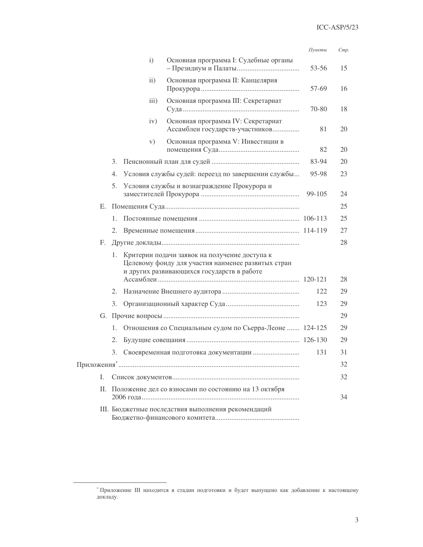|    |    |    |                   |                                                                                                                                                   | Пункты    | Cmp. |
|----|----|----|-------------------|---------------------------------------------------------------------------------------------------------------------------------------------------|-----------|------|
|    |    |    | $\mathbf{i}$      | Основная программа I: Судебные органы                                                                                                             | $53 - 56$ | 15   |
|    |    |    | $\overline{ii}$ ) | Основная программа II: Канцелярия                                                                                                                 | 57-69     | 16   |
|    |    |    | iii)              | Основная программа III: Секретариат                                                                                                               | 70-80     | 18   |
|    |    |    | iv)               | Основная программа IV: Секретариат<br>Ассамблеи государств-участников                                                                             | 81        | 20   |
|    |    |    | V)                | Основная программа V: Инвестиции в                                                                                                                | 82        | 20   |
|    |    | 3. |                   |                                                                                                                                                   | 83-94     | 20   |
|    |    | 4. |                   | Условия службы судей: переезд по завершении службы                                                                                                | 95-98     | 23   |
|    |    | 5. |                   | Условия службы и вознаграждение Прокурора и                                                                                                       | 99-105    | 24   |
|    |    |    |                   |                                                                                                                                                   |           | 25   |
|    |    | 1. |                   |                                                                                                                                                   |           | 25   |
|    |    | 2. |                   |                                                                                                                                                   |           | 27   |
|    | F. |    |                   |                                                                                                                                                   |           | 28   |
|    |    | 1. |                   | Критерии подачи заявок на получение доступа к<br>Целевому фонду для участия наименее развитых стран<br>и других развивающихся государств в работе |           | 28   |
|    |    | 2. |                   |                                                                                                                                                   | 122       | 29   |
|    |    | 3. |                   |                                                                                                                                                   | 123       | 29   |
|    |    |    |                   |                                                                                                                                                   |           | 29   |
|    |    | 1. |                   | Отношения со Специальным судом по Сьерра-Леоне  124-125                                                                                           |           | 29   |
|    |    | 2. |                   |                                                                                                                                                   |           | 29   |
|    |    | 3. |                   |                                                                                                                                                   | 131       | 31   |
|    |    |    |                   |                                                                                                                                                   |           | 32   |
| Ι. |    |    |                   |                                                                                                                                                   |           | 32   |
|    | Н. |    |                   | Положение дел со взносами по состоянию на 13 октября                                                                                              |           |      |
|    |    |    |                   |                                                                                                                                                   |           | 34   |
|    |    |    |                   | III. Бюджетные последствия выполнения рекомендаций                                                                                                |           |      |

<sup>\*</sup> Приложение III находится в стадии подготовки и будет выпущено как добавление к настоящему докладу.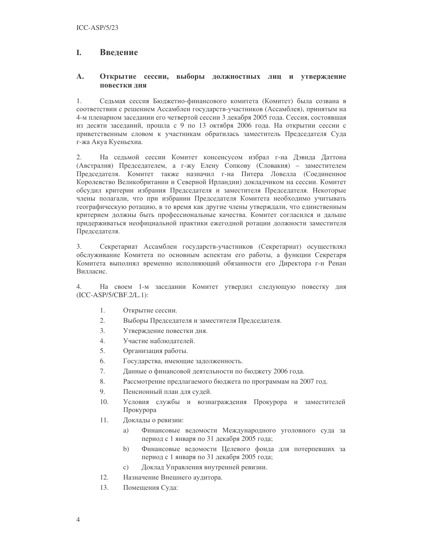#### I. Введение

#### $\mathbf{A}$ . Открытие сессии, выборы должностных лиц и утверждение повестки дня

 $1$ Седьмая сессия Бюджетно-финансового комитета (Комитет) была созвана в соответствии с решением Ассамблеи государств-участников (Ассамблея), принятым на 4-м пленарном заседании его четвертой сессии 3 декабря 2005 года. Сессия, состоявшая из десяти заседаний, прошла с 9 по 13 октября 2006 года. На открытии сессии с приветственным словом к участникам обратилась заместитель Председателя Суда г-жа Акуа Куеньехиа.

На седьмой сессии Комитет консенсусом избрал г-на Дэвида Даттона  $2.$ (Австралия) Председателем, а г-жу Елену Сопкову (Словакия) – заместителем Председателя. Комитет также назначил г-на Питера Ловелла (Соединенное Королевство Великобритании и Северной Ирландии) докладчиком на сессии. Комитет обсудил критерии избрания Председателя и заместителя Председателя. Некоторые члены полагали, что при избрании Председателя Комитета необходимо учитывать географическую ротацию, в то время как другие члены утверждали, что единственным критерием должны быть профессиональные качества. Комитет согласился и дальше придерживаться неофициальной практики ежегодной ротации должности заместителя Председателя.

Секретариат Ассамблеи государств-участников (Секретариат) осуществлял 3. обслуживание Комитета по основным аспектам его работы, а функции Секретаря Комитета выполнял временно исполняющий обязанности его Директора г-н Ренан Вилласис.

На своем 1-м заседании Комитет утвердил следующую повестку дня  $\overline{4}$ . (ICC-ASP/5/CBF.2/L.1):

- $1.$ Открытие сессии.
- $2.$ Выборы Председателя и заместителя Председателя.
- $\overline{3}$ . Утверждение повестки дня.
- $\overline{4}$ . Участие наблюдателей.
- 5. Организация работы.
- 6. Государства, имеющие задолженность.
- 7. Данные о финансовой деятельности по бюджету 2006 года.
- 8. Рассмотрение предлагаемого бюджета по программам на 2007 год.
- 9. Пенсионный план для судей.
- $10<sup>1</sup>$ Условия службы и вознаграждения Прокурора и заместителей Прокурора
- 11. Доклады о ревизии:
	- Финансовые ведомости Международного уголовного суда за a) период с 1 января по 31 декабря 2005 года;
	- $b)$ Финансовые ведомости Целевого фонда для потерпевших за период с 1 января по 31 декабря 2005 года;
	- Доклад Управления внутренней ревизии.  $\mathbf{c})$
- 12. Назначение Внешнего аудитора.
- 13. Помещения Суда: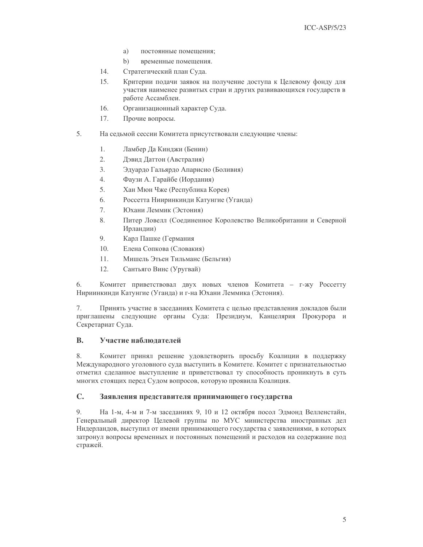- a) постоянные помешения:
- $b)$ временные помещения.
- 14. Стратегический план Суда.
- 15. Критерии подачи заявок на получение доступа к Целевому фонду для участия наименее развитых стран и других развивающихся государств в работе Ассамблеи.
- 16 Организационный характер Суда.
- 17. Прочие вопросы.
- 5. На седьмой сессии Комитета присутствовали следующие члены:
	- $1.$ Ламбер Да Кинджи (Бенин)
	- $2<sup>1</sup>$ Дэвид Даттон (Австралия)
	- 3. Эдуардо Гальярдо Апарисио (Боливия)
	- $\overline{4}$ . Фаузи А. Гарайбе (Иордания)
	- 5. Хан Мюн Чже (Республика Корея)
	- 6. Россетта Нииринкинди Катунгие (Уганда)
	- 7. Юхани Леммик (Эстония)
	- 8. Питер Ловелл (Соединенное Королевство Великобритании и Северной Ирландии)
	- 9. Карл Пашке (Германия
	- $10<sub>1</sub>$ Елена Сопкова (Словакия)
	- $11.$ Мишель Этьен Тильманс (Бельгия)
	- $12.$ Сантьяго Винс (Уругвай)

6. Комитет приветствовал двух новых членов Комитета - г-жу Россетту Нириинкинди Катунгие (Уганда) и г-на Юхани Леммика (Эстония).

7. Принять участие в заседаниях Комитета с целью представления докладов были приглашены следующие органы Суда: Президиум, Канцелярия Прокурора и Секретариат Суда.

#### $\mathbf{B}$ . Участие наблюдателей

 $8<sub>1</sub>$ Комитет принял решение удовлетворить просьбу Коалиции в поддержку Международного уголовного суда выступить в Комитете. Комитет с признательностью отметил сделанное выступление и приветствовал ту способность проникнуть в суть многих стоящих перед Судом вопросов, которую проявила Коалиция.

#### $\mathbf{C}$ . Заявления представителя принимающего государства

 $Q_{\perp}$ На 1-м, 4-м и 7-м заседаниях 9, 10 и 12 октября посол Эдмонд Велленстайн, Генеральный директор Целевой группы по МУС министерства иностранных дел Нидерландов, выступил от имени принимающего государства с заявлениями, в которых затронул вопросы временных и постоянных помещений и расходов на содержание под стражей.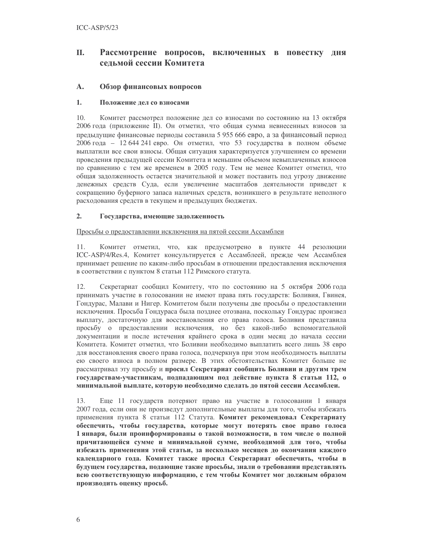### II. Рассмотрение вопросов, включенных в повестку дня сельмой сессии Комитета

#### $\mathbf{A}$ . Обзор финансовых вопросов

#### $1.$ Положение лел со взносами

10. Комитет рассмотрел положение дел со взносами по состоянию на 13 октября 2006 года (приложение II). Он отметил, что общая сумма невнесенных взносов за предыдущие финансовые периоды составила 5 955 666 евро, а за финансовый период 2006 года - 12 644 241 евро. Он отметил, что 53 государства в полном объеме выплатили все свои взносы. Общая ситуация характеризуется улучшением со времени проведения предыдущей сессии Комитета и меньшим объемом невыплаченных взносов по сравнению с тем же временем в 2005 году. Тем не менее Комитет отметил, что общая задолженность остается значительной и может поставить под угрозу движение денежных средств Суда, если увеличение масштабов деятельности приведет к сокращению буферного запаса наличных средств, возникшего в результате неполного расходования средств в текущем и предыдущих бюджетах.

#### $2.$ Государства, имеющие задолженность

### Просьбы о предоставлении исключения на пятой сессии Ассамблеи

Комитет отметил, что, как предусмотрено в пункте 44 резолюции 11. ICC-ASP/4/Res.4, Комитет консультируется с Ассамблеей, прежде чем Ассамблея принимает решение по каким-либо просьбам в отношении предоставления исключения в соответствии с пунктом 8 статьи 112 Римского статута.

 $12.$ Секретариат сообщил Комитету, что по состоянию на 5 октября 2006 года принимать участие в голосовании не имеют права пять государств: Боливия, Гвинея, Гондурас, Малави и Нигер. Комитетом были получены две просьбы о предоставлении исключения. Просьба Гондураса была позднее отозвана, поскольку Гондурас произвел выплату, достаточную для восстановления его права голоса. Боливия представила просьбу о предоставлении исключения, но без какой-либо вспомогательной документации и после истечения крайнего срока в один месяц до начала сессии Комитета. Комитет отметил, что Боливии необходимо выплатить всего лишь 38 евро для восстановления своего права голоса, подчеркнув при этом необходимость выплаты ею своего взноса в полном размере. В этих обстоятельствах Комитет больше не рассматривал эту просьбу и просил Секретариат сообщить Боливии и другим трем государствам-участникам, подпадающим под действие пункта 8 статьи 112, о минимальной выплате, которую необходимо сделать до пятой сессии Ассамблеи.

13. Еще 11 государств потеряют право на участие в голосовании 1 января 2007 года, если они не произведут дополнительные выплаты для того, чтобы избежать применения пункта 8 статьи 112 Статута. Комитет рекомендовал Секретариату обеспечить, чтобы государства, которые могут потерять свое право голоса 1 января, были проинформированы о такой возможности, в том числе о полной причитающейся сумме и минимальной сумме, необходимой для того, чтобы избежать применения этой статьи, за несколько месяцев до окончания каждого календарного года. Комитет также просил Секретариат обеспечить, чтобы в будущем государства, подающие такие просьбы, знали о требовании представлять всю соответствующую информацию, с тем чтобы Комитет мог должным образом производить оценку просьб.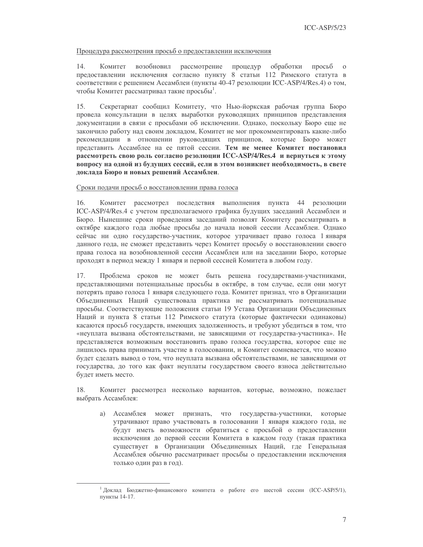### Процедура рассмотрения просьб о предоставлении исключения

 $14.$ Комитет возобновил рассмотрение процедур обработки просьб  $\Omega$ предоставлении исключения согласно пункту 8 статьи 112 Римского статута в соответствии с решением Ассамблеи (пункты 40-47 резолюции ICC-ASP/4/Res.4) о том, чтобы Комитет рассматривал такие просьбы<sup>1</sup>.

Секретариат сообщил Комитету, что Нью-йоркская рабочая группа Бюро 15. провела консультации в целях выработки руководящих принципов представления документации в связи с просьбами об исключении. Однако, поскольку Бюро еще не закончило работу над своим докладом, Комитет не мог прокомментировать какие-либо рекомендации в отношении руководящих принципов, которые Бюро может представить Ассамблее на ее пятой сессии. Тем не менее Комитет постановил рассмотреть свою роль согласно резолюции ICC-ASP/4/Res.4 и вернуться к этому вопросу на одной из будущих сессий, если в этом возникнет необходимость, в свете доклада Бюро и новых решений Ассамблеи.

### Сроки подачи просьб о восстановлении права голоса

16. Комитет рассмотрел последствия выполнения пункта 44 резолюции ICC-ASP/4/Res.4 с учетом предполагаемого графика будущих заседаний Ассамблеи и Бюро. Нынешние сроки проведения заседаний позволят Комитету рассматривать в октябре каждого года любые просьбы до начала новой сессии Ассамблеи. Однако сейчас ни одно государство-участник, которое утрачивает право голоса 1 января данного года, не сможет представить через Комитет просьбу о восстановлении своего права голоса на возобновленной сессии Ассамблеи или на заседании Бюро, которые проходят в период между 1 января и первой сессией Комитета в любом году.

Проблема сроков не может быть решена государствами-участниками, 17. представляющими потенциальные просьбы в октябре, в том случае, если они могут потерять право голоса 1 января следующего года. Комитет признал, что в Организации Объединенных Наций существовала практика не рассматривать потенциальные просьбы. Соответствующие положения статьи 19 Устава Организации Объединенных Наций и пункта 8 статьи 112 Римского статута (которые фактически одинаковы) касаются просьб государств, имеющих задолженность, и требуют убедиться в том, что «неуплата вызвана обстоятельствами, не зависящими от государства-участника». Не представляется возможным восстановить право голоса государства, которое еще не лишилось права принимать участие в голосовании, и Комитет сомневается, что можно будет сделать вывод о том, что неуплата вызвана обстоятельствами, не зависящими от государства, до того как факт неуплаты государством своего взноса действительно будет иметь место.

Комитет рассмотрел несколько вариантов, которые, возможно, пожелает 18. выбрать Ассамблея:

а) Ассамблея может признать, что государства-участники, которые утрачивают право участвовать в голосовании 1 января каждого года, не будут иметь возможности обратиться с просьбой о предоставлении исключения до первой сессии Комитета в каждом году (такая практика существует в Организации Объединенных Наций, где Генеральная Ассамблея обычно рассматривает просьбы о предоставлении исключения только один раз в год).

<sup>&</sup>lt;sup>1</sup> Доклад Бюджетно-финансового комитета о работе его шестой сессии (ICC-ASP/5/1), пункты 14-17.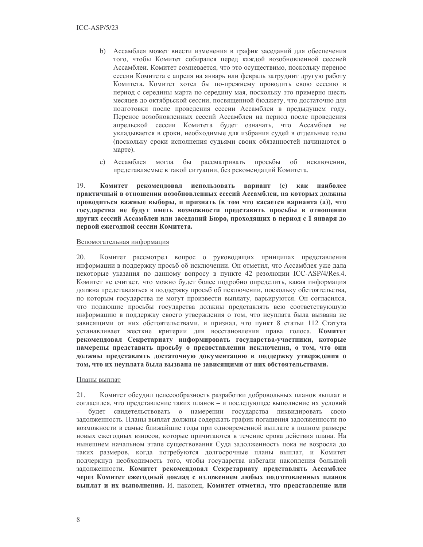- b) Ассамблея может внести изменения в график заседаний для обеспечения того, чтобы Комитет собирался перед каждой возобновленной сессией Ассамблеи. Комитет сомневается, что это осуществимо, поскольку перенос сессии Комитета с апреля на январь или февраль затруднит другую работу Комитета. Комитет хотел бы по-прежнему проводить свою сессию в период с середины марта по середину мая, поскольку это примерно шесть месяцев до октябрьской сессии, посвященной бюджету, что достаточно для подготовки после проведения сессии Ассамблеи в предыдущем году. Перенос возобновленных сессий Ассамблеи на период после проведения апрельской сессии Комитета будет означать, что Ассамблея не укладывается в сроки, необходимые для избрания судей в отдельные годы (поскольку сроки исполнения судьями своих обязанностей начинаются в марте).
- с) Ассамблея рассматривать просьбы об исключении. могла  $6<sub>bl</sub>$ представляемые в такой ситуации, без рекомендаций Комитета.

19. Комитет рекомендовал использовать вариант (с) как наиболее практичный в отношении возобновленных сессий Ассамблеи, на которых должны проводиться важные выборы, и признать (в том что касается варианта (а)), что государства не будут иметь возможности представить просьбы в отношении других сессий Ассамблеи или заседаний Бюро, проходящих в период с 1 января до первой ежегодной сессии Комитета.

### Вспомогательная информация

20. Комитет рассмотрел вопрос о руководящих принципах представления информации в поддержку просьб об исключении. Он отметил, что Ассамблея уже дала некоторые указания по данному вопросу в пункте 42 резолюции ICC-ASP/4/Res.4. Комитет не считает, что можно будет более подробно определить, какая информация должна представляться в поддержку просьб об исключении, поскольку обстоятельства, по которым государства не могут произвести выплату, варьируются. Он согласился, что подающие просьбы государства должны представлять всю соответствующую информацию в поддержку своего утверждения о том, что неуплата была вызвана не зависящими от них обстоятельствами, и признал, что пункт 8 статьи 112 Статута устанавливает жесткие критерии для восстановления права голоса. Комитет рекомендовал Секретариату информировать государства-участники, которые намерены представить просьбу о предоставлении исключения, о том, что они должны представлять достаточную документацию в поддержку утверждения о том, что их неуплата была вызвана не зависящими от них обстоятельствами.

### Планы выплат

Комитет обсудил целесообразность разработки добровольных планов выплат и  $21$ согласился, что представление таких планов - и последующее выполнение их условий будет свидетельствовать о намерении государства ликвидировать свою задолженность. Планы выплат должны содержать график погашения задолженности по возможности в самые ближайшие годы при одновременной выплате в полном размере новых ежегодных взносов, которые причитаются в течение срока действия плана. На нынешнем начальном этапе существования Суда задолженность пока не возросла до таких размеров, когда потребуются долгосрочные планы выплат, и Комитет подчеркнул необходимость того, чтобы государства избегали накопления большой задолженности. Комитет рекомендовал Секретариату представлять Ассамблее через Комитет ежегодный доклад с изложением любых подготовленных планов выплат и их выполнения. И, наконец, Комитет отметил, что представление или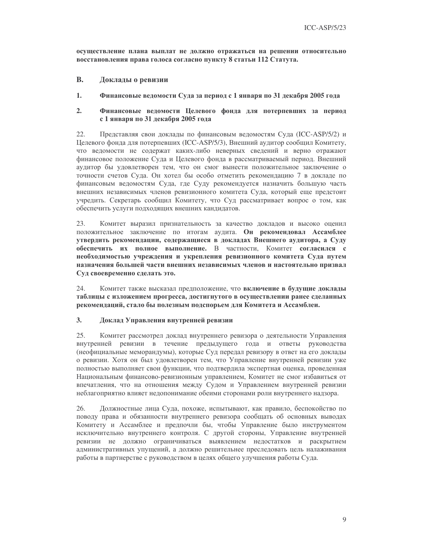осуществление плана выплат не должно отражаться на решении относительно восстановления права голоса согласно пункту 8 статьи 112 Статута.

- **B.** Доклады о ревизии
- 1. Финансовые ведомости Суда за период с 1 января по 31 декабря 2005 года

#### $2.$ Финансовые ведомости Целевого фонда для потерпевших за период с 1 января по 31 декабря 2005 года

22. Представляя свои доклады по финансовым ведомостям Суда (ICC-ASP/5/2) и Целевого фонда для потерпевших (ICC-ASP/5/3), Внешний аудитор сообщил Комитету, что ведомости не содержат каких-либо неверных сведений и верно отражают финансовое положение Суда и Целевого фонда в рассматриваемый период. Внешний аудитор бы удовлетворен тем, что он смог вынести положительное заключение о точности счетов Суда. Он хотел бы особо отметить рекомендацию 7 в докладе по финансовым ведомостям Суда, где Суду рекомендуется назначить большую часть внешних независимых членов ревизионного комитета Суда, который еще предстоит учредить. Секретарь сообщил Комитету, что Суд рассматривает вопрос о том, как обеспечить услуги подходящих внешних кандидатов.

23. Комитет выразил признательность за качество докладов и высоко оценил положительное заключение по итогам аудита. Он рекомендовал Ассамблее утвердить рекомендации, содержащиеся в докладах Внешнего аудитора, а Суду обеспечить их полное выполнение. В частности, Комитет согласился с необходимостью учреждения и укрепления ревизионного комитета Суда путем назначения большей части внешних независимых членов и настоятельно призвал Суд своевременно сделать это.

24. Комитет также высказал предположение, что включение в будущие доклады таблицы с изложением прогресса, достигнутого в осуществлении ранее сделанных рекомендаций, стало бы полезным подспорьем для Комитета и Ассамблеи.

#### $3.$ Доклад Управления внутренней ревизии

25. Комитет рассмотрел доклад внутреннего ревизора о деятельности Управления внутренней ревизии в течение предыдущего года и ответы руководства (неофициальные меморандумы), которые Суд передал ревизору в ответ на его доклады о ревизии. Хотя он был удовлетворен тем, что Управление внутренней ревизии уже полностью выполняет свои функции, что подтвердила экспертная оценка, проведенная Национальным финансово-ревизионным управлением, Комитет не смог избавиться от впечатления, что на отношения между Судом и Управлением внутренней ревизии неблагоприятно влияет недопонимание обеими сторонами роли внутреннего надзора.

26. Должностные лица Суда, похоже, испытывают, как правило, беспокойство по поводу права и обязанности внутреннего ревизора сообщать об основных выводах Комитету и Ассамблее и предпочли бы, чтобы Управление было инструментом исключительно внутреннего контроля. С другой стороны, Управление внутренней ревизии не должно ограничиваться выявлением недостатков и раскрытием административных упущений, а должно решительнее преследовать цель налаживания работы в партнерстве с руководством в целях общего улучшения работы Суда.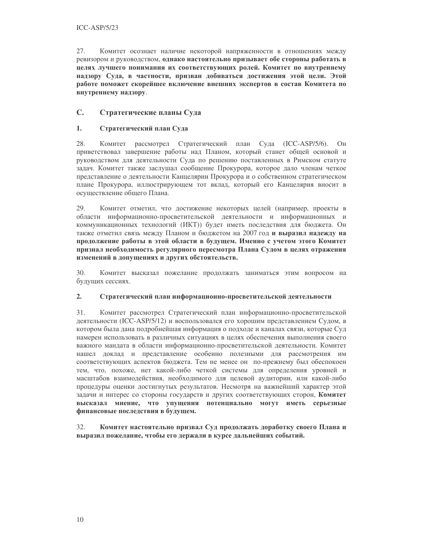27. Комитет осознает наличие некоторой напряженности в отношениях между ревизором и руководством, однако настоятельно призывает обе стороны работать в целях лучшего понимания их соответствующих ролей. Комитет по внутреннему надзору Суда, в частности, призван добиваться достижения этой цели. Этой работе поможет скорейшее включение внешних экспертов в состав Комитета по внутреннему надзору.

#### $\mathbf{C}$ . Стратегические планы Суда

#### $1.$ Стратегический план Суда

28 Комитет рассмотрел Стратегический план Суда (ICC-ASP/5/6).  $O<sub>H</sub>$ приветствовал завершение работы над Планом, который станет общей основой и руководством для деятельности Суда по решению поставленных в Римском статуте задач. Комитет также заслушал сообщение Прокурора, которое дало членам четкое представление о деятельности Канцелярии Прокурора и о собственном стратегическом плане Прокурора, иллюстрирующем тот вклад, который его Канцелярия вносит в осуществление общего Плана.

29. Комитет отметил, что достижение некоторых целей (например, проекты в области информационно-просветительской деятельности и информационных и коммуникационных технологий (ИКТ)) будет иметь последствия для бюджета. Он также отметил связь между Планом и бюджетом на 2007 год и выразил надежду на продолжение работы в этой области в будущем. Именно с учетом этого Комитет признал необходимость регулярного пересмотра Плана Судом в целях отражения изменений в допущениях и других обстоятельств.

 $30.$ Комитет высказал пожелание продолжать заниматься этим вопросом на будущих сессиях.

#### $2.$ Стратегический план информационно-просветительской деятельности

31. Комитет рассмотрел Стратегический план информационно-просветительской деятельности (ICC-ASP/5/12) и воспользовался его хорошим представлением Судом, в котором была дана подробнейшая информация о подходе и каналах связи, которые Суд намерен использовать в различных ситуациях в целях обеспечения выполнения своего важного мандата в области информационно-просветительской деятельности. Комитет нашел доклад и представление особенно полезными для рассмотрения им соответствующих аспектов бюджета. Тем не менее он по-прежнему был обеспокоен тем, что, похоже, нет какой-либо четкой системы для определения уровней и масштабов взаимодействия, необходимого для целевой аудитории, или какой-либо процедуры оценки достигнутых результатов. Несмотря на важнейший характер этой задачи и интерес со стороны государств и других соответствующих сторон, Комитет высказал мнение, что упущения потенциально могут иметь серьезные финансовые последствия в будущем.

 $32<sub>1</sub>$ Комитет настоятельно призвал Суд продолжать доработку своего Плана и выразил пожелание, чтобы его держали в курсе дальнейших событий.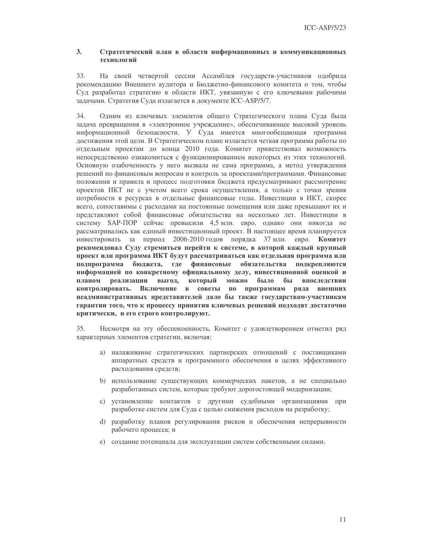#### $\mathbf{3}$ . Стратегический план в области информационных и коммуникационных технологий

33. На своей четвертой сессии Ассамблея государств-участников одобрила рекомендацию Внешнего аудитора и Бюджетно-финансового комитета о том, чтобы Суд разработал стратегию в области ИКТ, увязанную с его ключевыми рабочими задачами. Стратегия Суда излагается в документе ICC-ASP/5/7.

 $34$ Одним из ключевых элементов общего Стратегического плана Суда была задача превращения в «электронное учреждение», обеспечивающее высокий уровень информационной безопасности. У Суда имеется многообещающая программа достижения этой цели. В Стратегическом плане излагается четкая программа работы по отдельным проектам до конца 2010 года. Комитет приветствовал возможность непосредственно ознакомиться с функционированием некоторых из этих технологий. Основную озабоченность у него вызвала не сама программа, а метод утверждения решений по финансовым вопросам и контроль за проектами/программами. Финансовые положения и правила и процесс подготовки бюджета предусматривают рассмотрение проектов ИКТ не с учетом всего срока осуществления, а только с точки зрения потребности в ресурсах в отдельные финансовые годы. Инвестиции в ИКТ, скорее всего, сопоставимы с расходами на постоянные помещения или даже превышают их и представляют собой финансовые обязательства на несколько лет. Инвестиции в систему SAP-ПОР сейчас превысили 4,5 млн. евро, однако они никогда не рассматривались как единый инвестиционный проект. В настоящее время планируется инвестировать за период 2006-2010 годов порядка 37 млн. евро. Комитет рекомендовал Суду стремиться перейти к системе, в которой каждый крупный проект или программа ИКТ будут рассматриваться как отдельная программа или подпрограмма бюджета, где финансовые обязательства подкрепляются информацией по конкретному официальному делу, инвестиционной оценкой и планом реализации выгод, который можно было бы впоследствии контролировать. Включение в советы по программам ряда внешних неадминистративных представителей дало бы также государствам-участникам гарантии того, что к процессу принятия ключевых решений подходят достаточно критически, и его строго контролируют.

35. Несмотря на эту обеспокоенность, Комитет с удовлетворением отметил ряд характерных элементов стратегии, включая:

- а) налаживание стратегических партнерских отношений с поставщиками аппаратных средств и программного обеспечения в целях эффективного расходования средств;
- b) использование существующих коммерческих пакетов, а не специально разработанных систем, которые требуют дорогостоящей модернизации;
- с) установление контактов с другими судебными организациями при разработке систем для Суда с целью снижения расходов на разработку;
- d) разработку планов регулирования рисков и обеспечения непрерывности рабочего процесса; и
- е) создание потенциала для эксплуатации систем собственными силами.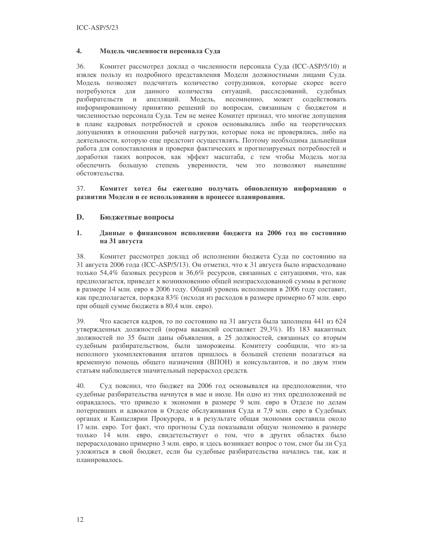#### $\overline{4}$ . Модель численности персонала Суда

 $36.$ Комитет рассмотрел доклад о численности персонала Суда (ICC-ASP/5/10) и извлек пользу из подробного представления Модели должностными лицами Суда. Модель позволяет подсчитать количество сотрудников, которые скорее всего потребуются для данного количества ситуаций, расследований, судебных разбирательств и апелляций. Модель, несомненно, может содействовать информированному принятию решений по вопросам, связанным с бюджетом и численностью персонала Суда. Тем не менее Комитет признал, что многие допущения в плане кадровых потребностей и сроков основывались либо на теоретических допущениях в отношении рабочей нагрузки, которые пока не проверялись, либо на деятельности, которую еще предстоит осуществлять. Поэтому необходима дальнейшая работа для сопоставления и проверки фактических и прогнозируемых потребностей и доработки таких вопросов, как эффект масштаба, с тем чтобы Модель могла обеспечить большую степень уверенности, чем это позволяют нынешние обстоятельства.

37. Комитет хотел бы ежегодно получать обновленную информацию о развитии Модели и ее использовании в процессе планирования.

#### D. Бюджетные вопросы

#### $1.$ Данные о финансовом исполнении бюджета на 2006 год по состоянию на 31 августа

38. Комитет рассмотрел доклад об исполнении бюджета Суда по состоянию на 31 августа 2006 года (ICC-ASP/5/13). Он отметил, что к 31 августа было израсходовано только 54,4% базовых ресурсов и 36,6% ресурсов, связанных с ситуациями, что, как предполагается, приведет к возникновению общей неизрасходованной суммы в регионе в размере 14 млн. евро в 2006 году. Общий уровень исполнения в 2006 году составит, как предполагается, порядка 83% (исходя из расходов в размере примерно 67 млн. евро при общей сумме бюджета в 80,4 млн. евро).

39. Что касается кадров, то по состоянию на 31 августа была заполнена 441 из 624 утвержденных должностей (норма вакансий составляет 29,3%). Из 183 вакантных должностей по 35 были даны объявления, а 25 должностей, связанных со вторым судебным разбирательством, были заморожены. Комитету сообщили, что из-за неполного укомплектования штатов пришлось в большей степени полагаться на временную помощь общего назначения (ВПОН) и консультантов, и по двум этим статьям наблюдается значительный перерасход средств.

40. Суд пояснил, что бюджет на 2006 год основывался на предположении, что судебные разбирательства начнутся в мае и июле. Ни одно из этих предположений не оправдалось, что привело к экономии в размере 9 млн. евро в Отделе по делам потерпевших и адвокатов и Отделе обслуживания Суда и 7,9 млн. евро в Судебных органах и Канцелярии Прокурора, и в результате общая экономия составила около 17 млн. евро. Тот факт, что прогнозы Суда показывали общую экономию в размере только 14 млн. евро, свидетельствует о том, что в других областях было перерасходовано примерно 3 млн. евро, и здесь возникает вопрос о том, смог бы ли Суд уложиться в свой бюджет, если бы судебные разбирательства начались так, как и планировалось.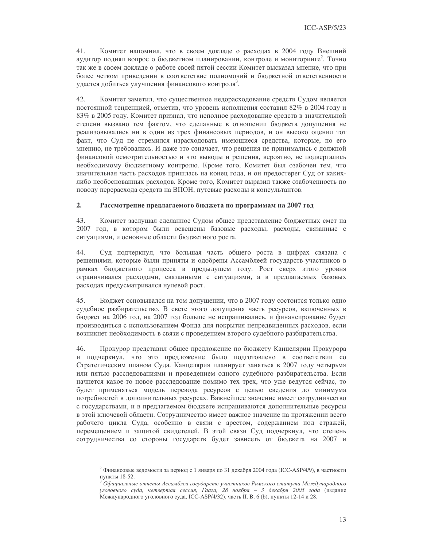$41.$ Комитет напомнил, что в своем докладе о расходах в 2004 году Внешний аудитор поднял вопрос о бюджетном планировании, контроле и мониторинге<sup>2</sup>. Точно так же в своем докладе о работе своей пятой сессии Комитет высказал мнение, что при более четком приведении в соответствие полномочий и бюджетной ответственности удается добиться улучшения финансового контроля<sup>3</sup>.

42. Комитет заметил, что существенное недорасходование средств Судом является постоянной тенденцией, отметив, что уровень исполнения составил 82% в 2004 году и 83% в 2005 году. Комитет признал, что неполное расходование средств в значительной степени вызвано тем фактом, что сделанные в отношении бюджета допущения не реализовывались ни в один из трех финансовых периодов, и он высоко оценил тот факт, что Суд не стремился израсходовать имеющиеся средства, которые, по его мнению, не требовались. И даже это означает, что решения не принимались с должной финансовой осмотрительностью и что выводы и решения, вероятно, не подвергались необходимому бюджетному контролю. Кроме того, Комитет был озабочен тем, что значительная часть расходов пришлась на конец года, и он предостерег Суд от какихлибо необоснованных расходов. Кроме того, Комитет выразил также озабоченность по поводу перерасхода средств на ВПОН, путевые расходы и консультантов.

#### $2.$ Рассмотрение предлагаемого бюджета по программам на 2007 год

43. Комитет заслушал сделанное Судом общее представление бюджетных смет на 2007 год, в котором были освещены базовые расходы, расходы, связанные с ситуациями, и основные области бюджетного роста.

44. Суд подчеркнул, что большая часть общего роста в цифрах связана с решениями, которые были приняты и одобрены Ассамблеей государств-участников в рамках бюджетного процесса в предыдущем году. Рост сверх этого уровня ограничивался расходами, связанными с ситуациями, а в предлагаемых базовых расходах предусматривался нулевой рост.

45. Бюджет основывался на том допущении, что в 2007 году состоится только одно судебное разбирательство. В свете этого допущения часть ресурсов, включенных в бюджет на 2006 год, на 2007 год больше не испрашивались, и финансирование будет производиться с использованием Фонда для покрытия непредвиденных расходов, если возникнет необходимость в связи с проведением второго судебного разбирательства.

Прокурор представил общее предложение по бюджету Канцелярии Прокурора 46. и подчеркнул, что это предложение было подготовлено в соответствии со Стратегическим планом Суда. Канцелярия планирует заняться в 2007 году четырьмя или пятью расследованиями и проведением одного судебного разбирательства. Если начнется какое-то новое расследование помимо тех трех, что уже ведутся сейчас, то будет применяться модель перевода ресурсов с целью сведения до минимума потребностей в дополнительных ресурсах. Важнейшее значение имеет сотрудничество с государствами, и в предлагаемом бюджете испрашиваются дополнительные ресурсы в этой ключевой области. Сотрудничество имеет важное значение на протяжении всего рабочего цикла Суда, особенно в связи с арестом, содержанием под стражей, перемещением и защитой свидетелей. В этой связи Суд подчеркнул, что степень сотрудничества со стороны государств будет зависеть от бюджета на 2007 и

<sup>&</sup>lt;sup>2</sup> Финансовые ведомости за период с 1 января по 31 декабря 2004 года (ICC-ASP/4/9), в частности пункты 18-52.

 $^3$  Официальные отчеты Ассамблеи государств-участников Римского статута Международного уголовного суда, четвертая сессия, Гаага, 28 ноября - 3 декабря 2005 года (издание .<br>Международного уголовного суда, ICC-ASP/4/32), часть II. В. 6 (b), пункты 12-14 и 28.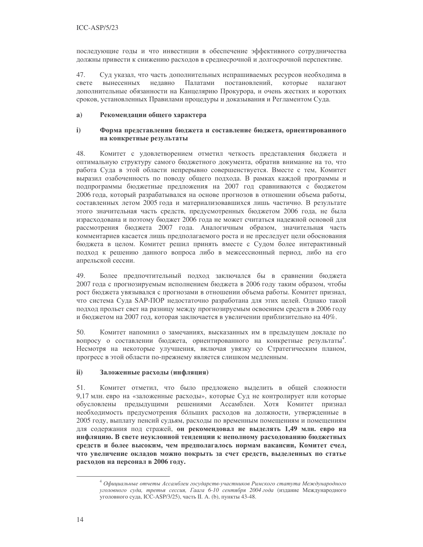последующие годы и что инвестиции в обеспечение эффективного сотрудничества должны привести к снижению расходов в среднесрочной и долгосрочной перспективе.

47. Суд указал, что часть дополнительных испрашиваемых ресурсов необходима в свете постановлений, вынесенных недавно Палатами которые налагают дополнительные обязанности на Канцелярию Прокурора, и очень жестких и коротких сроков, установленных Правилами процедуры и доказывания и Регламентом Суда.

#### $a)$ Рекомендации общего характера

#### $i)$ Форма представления бюджета и составление бюджета, ориентированного на конкретные результаты

48. Комитет с удовлетворением отметил четкость представления бюджета и оптимальную структуру самого бюджетного документа, обратив внимание на то, что работа Суда в этой области непрерывно совершенствуется. Вместе с тем, Комитет выразил озабоченность по поводу общего подхода. В рамках каждой программы и подпрограммы бюджетные предложения на 2007 год сравниваются с бюджетом 2006 года, который разрабатывался на основе прогнозов в отношении объема работы, составленных летом 2005 года и материализовавшихся лишь частично. В результате этого значительная часть средств, предусмотренных бюджетом 2006 года, не была израсходована и поэтому бюджет 2006 года не может считаться надежной основой для рассмотрения бюджета 2007 года. Аналогичным образом, значительная часть комментариев касается лишь предполагаемого роста и не преследует цели обоснования бюджета в целом. Комитет решил принять вместе с Судом более интерактивный подход к решению данного вопроса либо в межсессионный период, либо на его апрельской сессии.

49. Более предпочтительный подход заключался бы в сравнении бюджета 2007 года с прогнозируемым исполнением бюджета в 2006 году таким образом, чтобы рост бюджета увязывался с прогнозами в отношении объема работы. Комитет признал, что система Суда SAP-ПОР недостаточно разработана для этих целей. Однако такой подход прольет свет на разницу между прогнозируемым освоением средств в 2006 году и бюджетом на 2007 год, которая заключается в увеличении приблизительно на 40%.

50. Комитет напомнил о замечаниях, высказанных им в предыдущем докладе по вопросу о составлении бюджета, ориентированного на конкретные результаты<sup>4</sup>. Несмотря на некоторые улучшения, включая увязку со Стратегическим планом, прогресс в этой области по-прежнему является слишком медленным.

#### $\mathbf{ii}$ Заложенные расходы (инфляция)

51. Комитет отметил, что было предложено выделить в общей сложности 9,17 млн. евро на «заложенные расходы», которые Суд не контролирует или которые обусловлены предыдущими решениями Ассамблеи. Хотя Комитет признал необходимость предусмотрения больших расходов на должности, утвержденные в 2005 году, выплату пенсий судьям, расходы по временным помещениям и помещениям для содержания под стражей, он рекомендовал не выделять 1,49 млн. евро на инфляцию. В свете неуклонной тенденции к неполному расходованию бюджетных средств и более высоким, чем предполагалось нормам вакансии, Комитет счел, что увеличение окладов можно покрыть за счет средств, выделенных по статье расходов на персонал в 2006 году.

<sup>4</sup> Официальные отчеты Ассамблеи государств-участников Римского статута Международного уголовного суда, третья сессия, Гаага 6-10 сентября 2004 года (издание Международного уголовного суда, ICC-ASP/3/25), часть II. А. (b), пункты 43-48.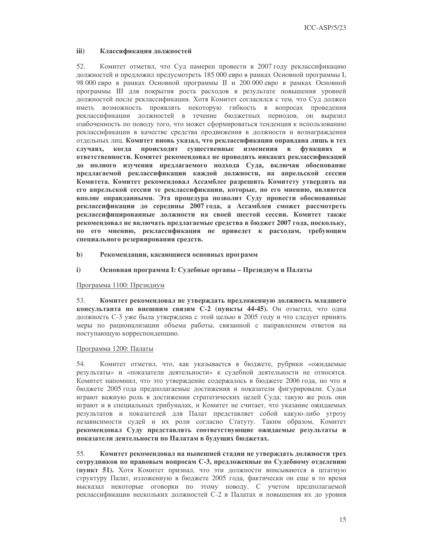#### iii) Классификация должностей

52. Комитет отметил, что Суд намерен провести в 2007 году реклассификацию должностей и предложил предусмотреть 185 000 евро в рамках Основной программы I, 98 000 евро в рамках Основной программы II и 200 000 евро в рамках Основной программы III для покрытия роста расходов в результате повышения уровней должностей после реклассификации. Хотя Комитет согласился с тем, что Суд должен иметь возможность проявлять некоторую гибкость в вопросах проведения реклассификации должностей в течение бюджетных периодов, он выразил озабоченность по поводу того, что может сформироваться тенденция к использованию реклассификации в качестве средства продвижения в должности и вознаграждения отдельных лиц. Комитет вновь указал, что реклассификация оправдана лишь в тех происходят существенные изменения в случаях, когда функциях и ответственности. Комитет рекомендовал не проводить никаких реклассификаций до полного изучения предлагаемого подхода Суда, включая обоснование предлагаемой реклассификации каждой должности, на апрельской сессии Комитета. Комитет рекомендовал Ассамблее разрешить Комитету утвердить на его апрельской сессии те реклассификации, которые, по его мнению, являются вполне оправданными. Эта процедура позволит Суду провести обоснованные реклассификации до середины 2007 года, а Ассамблея сможет рассмотреть реклассифицированные должности на своей шестой сессии. Комитет также рекомендовал не включать предлагаемые средства в бюджет 2007 года, поскольку, по его мнению, реклассификация не приведет к расходам, требующим специального резервирования средств.

- $\mathbf{b}$ Рекомендации, касающиеся основных программ
- $i)$ Основная программа І: Судебные органы - Президиум и Палаты

### Программа 1100: Президиум

53. Комитет рекомендовал не утверждать предложенную должность младшего консультанта по внешним связям С-2 (пункты 44-45). Он отметил, что одна должность С-3 уже была утверждена с этой целью в 2005 году и что следует принять меры по рационализации объема работы, связанной с направлением ответов на поступающую корреспонденцию.

### Программа 1200: Палаты

Комитет отметил, что, как указывается в бюджете, рубрики «ожидаемые 54. результаты» и «показатели деятельности» к судебной деятельности не относятся. Комитет напомнил, что это утверждение содержалось в бюджете 2006 года, но что в бюджете 2005 года предполагаемые достижения и показатели фигурировали. Судьи играют важную роль в достижении стратегических целей Суда; такую же роль они играют и в специальных трибуналах, и Комитет не считает, что указание ожидаемых результатов и показателей для Палат представляет собой какую-либо угрозу независимости судей и их роли согласно Статуту. Таким образом, Комитет рекомендовал Суду представлять соответствующие ожидаемые результаты и показатели деятельности по Палатам в будущих бюджетах.

55. Комитет рекомендовал на нынешней стадии не утверждать должности трех сотрудников по правовым вопросам С-3, предложенные по Судебному отделению (пункт 51). Хотя Комитет признал, что эти должности вписываются в штатную структуру Палат, изложенную в бюджете 2005 года, фактически он еще в то время высказал некоторые оговорки по этому поводу. С учетом предполагаемой реклассификации нескольких должностей С-2 в Палатах и повышения их до уровня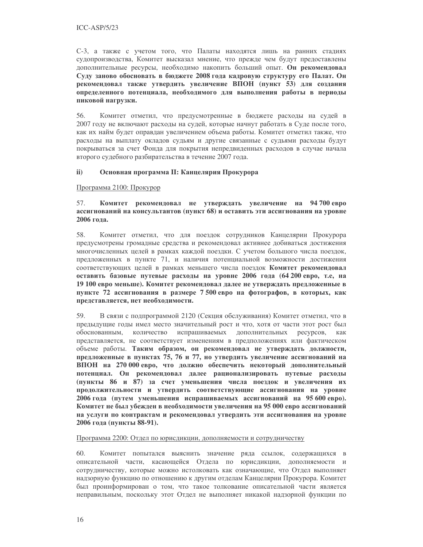С-3, а также с учетом того, что Палаты находятся лишь на ранних стадиях судопроизводства, Комитет высказал мнение, что прежде чем будут предоставлены дополнительные ресурсы, необходимо накопить больший опыт. Он рекомендовал Суду заново обосновать в бюджете 2008 года кадровую структуру его Палат. Он рекомендовал также утвердить увеличение ВПОН (пункт 53) для создания определенного потенциала, необходимого для выполнения работы в периоды пиковой нагрузки.

56. Комитет отметил, что предусмотренные в бюджете расходы на судей в 2007 году не включают расходы на судей, которые начнут работать в Суде после того, как их найм будет оправдан увеличением объема работы. Комитет отметил также, что расходы на выплату окладов судьям и другие связанные с судьями расходы будут покрываться за счет Фонда для покрытия непредвиденных расходов в случае начала второго судебного разбирательства в течение 2007 года.

#### $\mathbf{ii}$ Основная программа II: Канцелярия Прокурора

Программа 2100: Прокурор

57. Комитет рекомендовал не утверждать увеличение на 94700евро ассигнований на консультантов (пункт 68) и оставить эти ассигнования на уровне 2006 года.

58. Комитет отметил, что для поездок сотрудников Канцелярии Прокурора предусмотрены громадные средства и рекомендовал активнее добиваться достижения многочисленных целей в рамках каждой поездки. С учетом большого числа поездок, предложенных в пункте 71, и наличия потенциальной возможности достижения соответствующих целей в рамках меньшего числа поездок Комитет рекомендовал оставить базовые путевые расходы на уровне 2006 года (64 200 евро, т.е, на 19 100 евро меньше). Комитет рекомендовал далее не утверждать предложенные в пункте 72 ассигнования в размере 7500 евро на фотографов, в которых, как представляется, нет необходимости.

59. В связи с подпрограммой 2120 (Секция обслуживания) Комитет отметил, что в предыдущие годы имел место значительный рост и что, хотя от части этот рост был обоснованным, количество испрашиваемых дополнительных ресурсов, как представляется, не соответствует изменениям в предположениях или фактическом объеме работы. Таким образом, он рекомендовал не утверждать должности, предложенные в пунктах 75, 76 и 77, но утвердить увеличение ассигнований на ВПОН на 270 000 евро, что должно обеспечить некоторый дополнительный потенциал. Он рекомендовал далее рационализировать путевые расходы (пункты 86 и 87) за счет уменьшения числа поездок и увеличения их продолжительности и утвердить соответствующие ассигнования на уровне 2006 года (путем уменьшения испрашиваемых ассигнований на 95 600 евро). Комитет не был убежден в необходимости увеличения на 95 000 евро ассигнований на услуги по контрактам и рекомендовал утвердить эти ассигнования на уровне 2006 года (пункты 88-91).

Программа 2200: Отдел по юрисдикции, дополняемости и сотрудничеству

60. Комитет попытался выяснить значение ряда ссылок, содержащихся в описательной части, касающейся Отдела по юрисдикции, дополняемости и сотрудничеству, которые можно истолковать как означающие, что Отдел выполняет надзорную функцию по отношению к другим отделам Канцелярии Прокурора. Комитет был проинформирован о том, что такое толкование описательной части является неправильным, поскольку этот Отдел не выполняет никакой надзорной функции по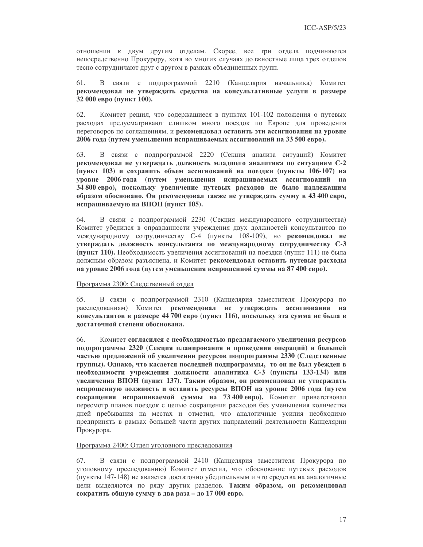отношении к двум другим отделам. Скорее, все три отдела подчиняются непосредственно Прокурору, хотя во многих случаях должностные лица трех отделов тесно сотрудничают друг с другом в рамках объединенных групп.

В связи с подпрограммой 2210 (Канцелярия начальника) Комитет 61. рекомендовал не утверждать средства на консультативные услуги в размере 32 000 евро (пункт 100).

62. Комитет решил, что содержащиеся в пунктах 101-102 положения о путевых расходах предусматривают слишком много поездок по Европе для проведения переговоров по соглашениям, и рекомендовал оставить эти ассигнования на уровне 2006 года (путем уменьшения испрашиваемых ассигнований на 33 500 евро).

63. В связи с подпрограммой 2220 (Секция анализа ситуаций) Комитет рекомендовал не утверждать должность младшего аналитика по ситуациям С-2 (пункт 103) и сохранить объем ассигнований на поездки (пункты 106-107) на уровне 2006 года (путем уменьшения испрашиваемых ассигнований на 34 800 евро), поскольку увеличение путевых расходов не было надлежащим образом обосновано. Он рекомендовал также не утверждать сумму в 43 400 евро, испрашиваемую на ВПОН (пункт 105).

64. В связи с подпрограммой 2230 (Секция международного сотрудничества) Комитет убедился в оправданности учреждения двух должностей консультантов по международному сотрудничеству С-4 (пункты 108-109), но рекомендовал не утверждать должность консультанта по международному сотрудничеству С-3 (пункт 110). Необходимость увеличения ассигнований на поездки (пункт 111) не была должным образом разъяснена, и Комитет рекомендовал оставить путевые расходы на уровне 2006 года (путем уменьшения испрошенной суммы на 87 400 евро).

### Программа 2300: Следственный отдел

В связи с подпрограммой 2310 (Канцелярия заместителя Прокурора по 65. расследованиям) Комитет рекомендовал не утверждать ассигнования на консультантов в размере 44 700 евро (пункт 116), поскольку эта сумма не была в лостаточной степени обоснована.

66. Комитет согласился с необходимостью предлагаемого увеличения ресурсов подпрограммы 2320 (Секция планирования и проведения операций) и большей частью предложений об увеличении ресурсов подпрограммы 2330 (Следственные группы). Однако, что касается последней подпрограммы, то он не был убежден в необходимости учреждения должности аналитика С-3 (пункты 133-134) или увеличения ВПОН (пункт 137). Таким образом, он рекомендовал не утверждать испрошенную должность и оставить ресурсы ВПОН на уровне 2006 года (путем сокращения испрашиваемой суммы на 73 400 евро). Комитет приветствовал пересмотр планов поездок с целью сокращения расходов без уменьшения количества дней пребывания на местах и отметил, что аналогичные усилия необходимо предпринять в рамках большей части других направлений деятельности Канцелярии Прокурора.

### Программа 2400: Отдел уголовного преследования

В связи с подпрограммой 2410 (Канцелярия заместителя Прокурора по 67. уголовному преследованию) Комитет отметил, что обоснование путевых расходов (пункты 147-148) не является достаточно убедительным и что средства на аналогичные цели выделяются по ряду других разделов. Таким образом, он рекомендовал сократить общую сумму в два раза - до 17 000 евро.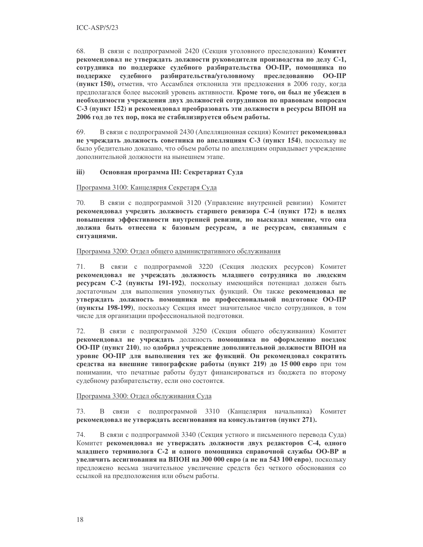68. В связи с подпрограммой 2420 (Секция уголовного преследования) Комитет рекомендовал не утверждать должности руководителя производства по делу С-1, сотрудника по поддержке судебного разбирательства ОО-ПР, помощника по поддержке судебного разбирательства/уголовному преследованию ОО-ПР (пункт 150), отметив, что Ассамблея отклонила эти предложения в 2006 году, когда предполагался более высокий уровень активности. Кроме того, он был не убежден в необходимости учреждения двух должностей сотрудников по правовым вопросам С-3 (пункт 152) и рекомендовал преобразовать эти должности в ресурсы ВПОН на 2006 год до тех пор, пока не стабилизируется объем работы.

69. В связи с подпрограммой 2430 (Апелляционная секция) Комитет рекомендовал не учреждать должность советника по апелляциям С-3 (пункт 154), поскольку не было убедительно доказано, что объем работы по апелляциям оправдывает учреждение дополнительной должности на нынешнем этапе.

#### iii) Основная программа III: Секретариат Суда

### Программа 3100: Канцелярия Секретаря Суда

70. В связи с подпрограммой 3120 (Управление внутренней ревизии) Комитет рекомендовал учредить должность старшего ревизора С-4 (пункт 172) в целях повышения эффективности внутренней ревизии, но высказал мнение, что она должна быть отнесена к базовым ресурсам, а не ресурсам, связанным с ситуациями.

### Программа 3200: Отдел общего административного обслуживания

71. В связи с подпрограммой 3220 (Секция людских ресурсов) Комитет рекомендовал не учреждать должность младшего сотрудника по людским ресурсам С-2 (пункты 191-192), поскольку имеющийся потенциал должен быть достаточным для выполнения упомянутых функций. Он также рекомендовал не утверждать должность помощника по профессиональной подготовке ОО-ПР (пункты 198-199), поскольку Секция имеет значительное число сотрудников, в том числе для организации профессиональной подготовки.

72. В связи с подпрограммой 3250 (Секция общего обслуживания) Комитет рекомендовал не учреждать должность помощника по оформлению поездок ОО-ПР (пункт 210), но одобрил учреждение дополнительной должности ВПОН на уровне ОО-ПР для выполнения тех же функций. Он рекомендовал сократить средства на внешние типографские работы (пункт 219) до 15 000 евро при том понимании, что печатные работы будут финансироваться из бюджета по второму судебному разбирательству, если оно состоится.

### Программа 3300: Отдел обслуживания Суда

73. В связи с подпрограммой 3310 (Канцелярия начальника) Комитет рекомендовал не утверждать ассигнования на консультантов (пункт 271).

74. В связи с подпрограммой 3340 (Секция устного и письменного перевода Суда) Комитет рекомендовал не утверждать должности двух редакторов С-4, одного младшего терминолога С-2 и одного помощника справочной службы ОО-ВР и увеличить ассигнования на ВПОН на 300 000 евро (а не на 543 100 евро), поскольку предложено весьма значительное увеличение средств без четкого обоснования со ссылкой на предположения или объем работы.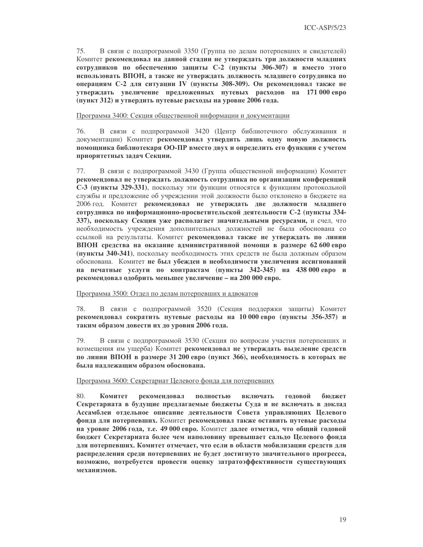75. В связи с подпрограммой 3350 (Группа по делам потерпевших и свидетелей) Комитет рекомендовал на данной стадии не утверждать три должности младших сотрудников по обеспечению защиты С-2 (пункты 306-307) и вместо этого использовать ВПОН, а также не утверждать должность младшего сотрудника по операциям С-2 для ситуации IV (пункты 308-309). Он рекомендовал также не утверждать увеличение предложенных путевых расходов на 171 000 евро (пункт 312) и утвердить путевые расходы на уровне 2006 года.

Программа 3400: Секция общественной информации и документации

76. В связи с подпрограммой 3420 (Центр библиотечного обслуживания и документации) Комитет рекомендовал утвердить лишь одну новую должность помощника библиотекаря ОО-ПР вместо двух и определить его функции с учетом приоритетных задач Секции.

77. В связи с подпрограммой 3430 (Группа общественной информации) Комитет рекомендовал не утверждать должность сотрудника по организации конференций С-3 (пункты 329-331), поскольку эти функции относятся к функциям протокольной службы и предложение об учреждении этой должности было отклонено в бюджете на 2006 год. Комитет рекомендовал не утверждать две должности младшего сотрудника по информационно-просветительской деятельности С-2 (пункты 334-337), поскольку Секция уже располагает значительными ресурсами, и счел, что необходимость учреждения дополнительных должностей не была обоснована со ссылкой на результаты. Комитет рекомендовал также не утверждать по линии ВПОН средства на оказание административной помощи в размере 62 600 евро (пункты 340-341), поскольку необходимость этих средств не была должным образом обоснована. Комитет не был убежден в необходимости увеличения ассигнований на печатные услуги по контрактам (пункты 342-345) на 438 000 евро и рекомендовал одобрить меньшее увеличение - на 200 000 евро.

Программа 3500: Отдел по делам потерпевших и адвокатов

78. В связи с подпрограммой 3520 (Секция поддержки защиты) Комитет рекомендовал сократить путевые расходы на 10 000 евро (пункты 356-357) и таким образом довести их до уровня 2006 года.

79. В связи с подпрограммой 3530 (Секция по вопросам участия потерпевших и возмещения им ущерба) Комитет рекомендовал не утверждать выделение средств по линии ВПОН в размере 31 200 евро (пункт 366), необходимость в которых не была надлежащим образом обоснована.

Программа 3600: Секретариат Целевого фонда для потерпевших

80. Комитет рекомендовал полностью включать головой бюлжет Секретариата в будущие предлагаемые бюджеты Суда и не включать в доклад Ассамблеи отдельное описание деятельности Совета управляющих Целевого фонда для потерпевших. Комитет рекомендовал также оставить путевые расходы на уровне 2006 года, т.е. 49 000 евро. Комитет далее отметил, что общий годовой бюджет Секретариата более чем наполовину превышает сальдо Целевого фонда для потерпевших. Комитет отмечает, что если в области мобилизации средств для распределения среди потерпевших не будет достигнуто значительного прогресса, возможно, потребуется провести оценку затратоэффективности существующих механизмов.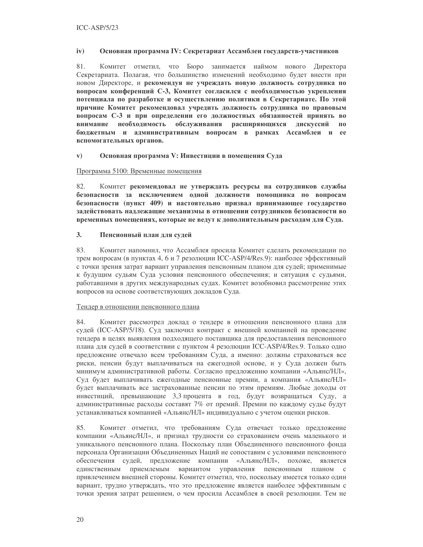#### $iv)$ Основная программа IV: Секретариат Ассамблеи государств-участников

 $81.$ Комитет отметил, что Бюро занимается наймом нового Директора Секретариата. Полагая, что большинство изменений необходимо будет внести при новом Директоре, и рекомендуя не учреждать новую должность сотрудника по вопросам конференций С-3, Комитет согласился с необходимостью укрепления потенциала по разработке и осуществлению политики в Секретариате. По этой причине Комитет рекомендовал учредить должность сотрудника по правовым вопросам С-3 и при определении его должностных обязанностей принять во внимание необходимость обслуживания расширяющихся дискуссий по бюджетным и административным вопросам в рамках Ассамблеи и ее вспомогательных органов.

#### Основная программа V: Инвестиции в помещения Суда  $\mathbf{v})$

### Программа 5100: Временные помещения

82. Комитет рекомендовал не утверждать ресурсы на сотрудников службы безопасности за исключением одной должности помощника по вопросам безопасности (пункт 409) и настоятельно призвал принимающее государство задействовать надлежащие механизмы в отношении сотрудников безопасности во временных помещениях, которые не ведут к дополнительным расходам для Суда.

#### $3.$ Пенсионный план для судей

83. Комитет напомнил, что Ассамблея просила Комитет сделать рекомендации по трем вопросам (в пунктах 4, 6 и 7 резолюции ICC-ASP/4/Res.9): наиболее эффективный с точки зрения затрат вариант управления пенсионным планом для судей; применимые к будущим судьям Суда условия пенсионного обеспечения; и ситуация с судьями, работавшими в других международных судах. Комитет возобновил рассмотрение этих вопросов на основе соответствующих докладов Суда.

### Тендер в отношении пенсионного плана

84. Комитет рассмотрел доклад о тендере в отношении пенсионного плана для судей (ICC-ASP/5/18). Суд заключил контракт с внешней компанией на проведение тендера в целях выявления подходящего поставщика для предоставления пенсионного плана для судей в соответствии с пунктом 4 резолюции ICC-ASP/4/Res.9. Только одно предложение отвечало всем требованиям Суда, а именно: должны страховаться все риски, пенсии будут выплачиваться на ежегодной основе, и у Суда должен быть минимум административной работы. Согласно предложению компании «Альянс/НЛ», Суд будет выплачивать ежегодные пенсионные премии, а компания «Альянс/НЛ» будет выплачивать все застрахованные пенсии по этим премиям. Любые доходы от инвестиций, превышающие 3,3 процента в год, будут возвращаться Суду, а административные расходы составят 7% от премий. Премии по каждому судье будут устанавливаться компанией «Альянс/НЛ» индивидуально с учетом оценки рисков.

85. Комитет отметил, что требованиям Суда отвечает только предложение компании «Альянс/НЛ», и признал трудности со страхованием очень маленького и уникального пенсионного плана. Поскольку план Объединенного пенсионного фонда персонала Организации Объединенных Наций не сопоставим с условиями пенсионного обеспечения судей, предложение компании «Альянс/НЛ», похоже, является единственным приемлемым вариантом управления пенсионным планом с привлечением внешней стороны. Комитет отметил, что, поскольку имеется только один вариант, трудно утверждать, что это предложение является наиболее эффективным с точки зрения затрат решением, о чем просила Ассамблея в своей резолюции. Тем не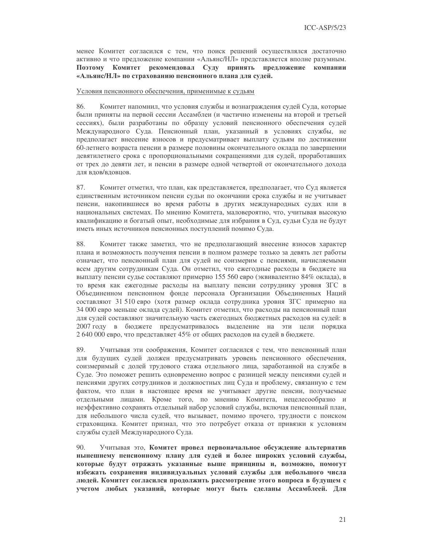менее Комитет согласился с тем, что поиск решений осуществлялся достаточно активно и что предложение компании «Альянс/НЛ» представляется вполне разумным. Поэтому Комитет рекомендовал Суду принять предложение компании «Альянс/НЛ» по страхованию пенсионного плана для судей.

### Условия пенсионного обеспечения, применимые к судьям

86. Комитет напомнил, что условия службы и вознаграждения судей Суда, которые были приняты на первой сессии Ассамблеи (и частично изменены на второй и третьей сессиях), были разработаны по образцу условий пенсионного обеспечения судей Международного Суда. Пенсионный план, указанный в условиях службы, не предполагает внесение взносов и предусматривает выплату судьям по достижении 60-летнего возраста пенсии в размере половины окончательного оклада по завершении девятилетнего срока с пропорциональными сокращениями для судей, проработавших от трех до девяти лет, и пенсии в размере одной четвертой от окончательного дохода лля влов/вловнов.

87. Комитет отметил, что план, как представляется, предполагает, что Суд является единственным источником пенсии судьи по окончании срока службы и не учитывает пенсии, накопившиеся во время работы в других международных судах или в национальных системах. По мнению Комитета, маловероятно, что, учитывая высокую квалификацию и богатый опыт, необходимые для избрания в Суд, судьи Суда не будут иметь иных источников пенсионных поступлений помимо Суда.

88. Комитет также заметил, что не предполагающий внесение взносов характер плана и возможность получения пенсии в полном размере только за девять лет работы означает, что пенсионный план для судей не соизмерим с пенсиями, начисляемыми всем другим сотрудникам Суда. Он отметил, что ежегодные расходы в бюджете на выплату пенсии судье составляют примерно 155 560 евро (эквивалентно 84% оклада), в то время как ежегодные расходы на выплату пенсии сотруднику уровня ЗГС в Объелиненном пенсионном фонле персонала Организации Объелиненных Наций составляют 31 510 евро (хотя размер оклада сотрудника уровня ЗГС примерно на 34 000 евро меньше оклада судей). Комитет отметил, что расходы на пенсионный план для судей составляют значительную часть ежегодных бюджетных расходов на судей: в 2007 году в бюджете предусматривалось выделение на эти цели порядка 2 640 000 евро, что представляет 45% от общих расходов на судей в бюджете.

89. Учитывая эти соображения, Комитет согласился с тем, что пенсионный план для будущих судей должен предусматривать уровень пенсионного обеспечения, соизмеримый с долей трудового стажа отдельного лица, заработанной на службе в Суде. Это поможет решить одновременно вопрос с разницей между пенсиями судей и пенсиями других сотрудников и должностных лиц Суда и проблему, связанную с тем фактом, что план в настоящее время не учитывает другие пенсии, получаемые отдельными лицами. Кроме того, по мнению Комитета, нецелесообразно и неэффективно сохранять отдельный набор условий службы, включая пенсионный план, для небольшого числа судей, что вызывает, помимо прочего, трудности с поиском страховщика. Комитет признал, что это потребует отказа от привязки к условиям службы судей Международного Суда.

 $90<sub>1</sub>$ Учитывая это, Комитет провел первоначальное обсуждение альтернатив нынешнему пенсионному плану для судей и более широких условий службы, которые будут отражать указанные выше принципы и, возможно, помогут избежать сохранения индивидуальных условий службы для небольшого числа людей. Комитет согласился продолжить рассмотрение этого вопроса в будущем с учетом любых указаний, которые могут быть сделаны Ассамблеей. Для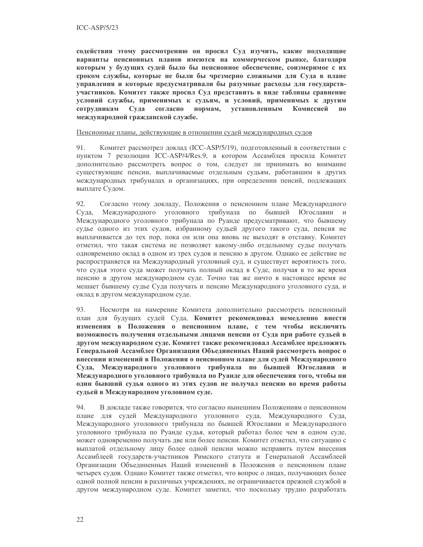содействия этому рассмотрению он просил Суд изучить, какие подходящие варианты пенсионных планов имеются на коммерческом рынке, благодаря которым у будущих судей было бы пенсионное обеспечение, соизмеримое с их сроком службы, которые не были бы чрезмерно сложными для Суда в плане управления и которые предусматривали бы разумные расходы для государствучастников. Комитет также просил Суд представить в виде таблицы сравнение условий службы, применимых к судьям, и условий, применимых к другим нормам, установленным сотрудникам Суда согласно Комиссией  $\mathbf{u}$ международной гражданской службе.

### Пенсионные планы, действующие в отношении судей международных судов

91. Комитет рассмотрел доклад (ICC-ASP/5/19), подготовленный в соответствии с пунктом 7 резолюции ICC-ASP/4/Res.9, в котором Ассамблея просила Комитет дополнительно рассмотреть вопрос о том, следует ли принимать во внимание существующие пенсии, выплачиваемые отдельным судьям, работавшим в других международных трибуналах и организациях, при определении пенсий, подлежащих выплате Судом.

 $92<sub>1</sub>$ Согласно этому докладу. Положения о пенсионном плане Международного Суда. Международного уголовного трибунала по бывшей Югославии  $\overline{M}$ Международного уголовного трибунала по Руанде предусматривают, что бывшему судье одного из этих судов, избранному судьей другого такого суда, пенсия не выплачивается до тех пор, пока он или она вновь не выходят в отставку. Комитет отметил, что такая система не позволяет какому-либо отдельному судье получать одновременно оклад в одном из трех судов и пенсию в другом. Однако ее действие не распространяется на Международный уголовный суд, и существует вероятность того, что судья этого суда может получать полный оклад в Суде, получая в то же время пенсию в другом международном суде. Точно так же ничто в настоящее время не мешает бывшему судье Суда получать и пенсию Международного уголовного суда, и оклад в другом международном суде.

93. Несмотря на намерение Комитета дополнительно рассмотреть пенсионный план для будущих судей Суда, Комитет рекомендовал немедленно внести изменения в Положения о пенсионном плане, с тем чтобы исключить возможность получения отдельными лицами пенсии от Суда при работе судьей в другом международном суде. Комитет также рекомендовал Ассамблее предложить Генеральной Ассамблее Организации Объединенных Наций рассмотреть вопрос о внесении изменений в Положения о пенсионном плане для судей Международного Суда, Международного уголовного трибунала по бывшей Югославии и Международного уголовного трибунала по Руанде для обеспечения того, чтобы ни один бывший судья одного из этих судов не получал пенсию во время работы судьей в Международном уголовном суде.

94. В докладе также говорится, что согласно нынешним Положениям о пенсионном для судей Международного уголовного суда, Международного Суда, плане Международного уголовного трибунала по бывшей Югославии и Международного уголовного трибунала по Руанде судья, который работал более чем в одном суде, может одновременно получать две или более пенсии. Комитет отметил, что ситуацию с выплатой отдельному лицу более одной пенсии можно исправить путем внесения Ассамблеей государств-участников Римского статута и Генеральной Ассамблеей Организации Объединенных Наций изменений в Положения о пенсионном плане четырех судов. Однако Комитет также отметил, что вопрос о лицах, получающих более одной полной пенсии в различных учреждениях, не ограничивается прежней службой в другом международном суде. Комитет заметил, что поскольку трудно разработать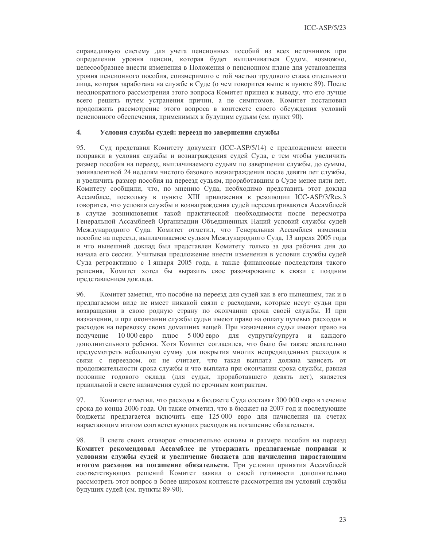справедливую систему для учета пенсионных пособий из всех источников при определении уровня пенсии, которая будет выплачиваться Судом, возможно, целесообразнее внести изменения в Положения о пенсионном плане для установления уровня пенсионного пособия, соизмеримого с той частью трудового стажа отдельного лица, которая заработана на службе в Суде (о чем говорится выше в пункте 89). После неоднократного рассмотрения этого вопроса Комитет пришел к выводу, что его лучше всего решить путем устранения причин, а не симптомов. Комитет постановил продолжить рассмотрение этого вопроса в контексте своего обсуждения условий пенсионного обеспечения, применимых к будущим судьям (см. пункт 90).

#### $\overline{4}$ . Условия службы судей: переезд по завершении службы

95. Суд представил Комитету документ (ICC-ASP/5/14) с предложением внести поправки в условия службы и вознаграждения судей Суда, с тем чтобы увеличить размер пособия на переезд, выплачиваемого судьям по завершении службы, до суммы, эквивалентной 24 неделям чистого базового вознаграждения после девяти лет службы, и увеличить размер пособия на переезд судьям, проработавшим в Суде менее пяти лет. Комитету сообщили, что, по мнению Суда, необходимо представить этот доклад Ассамблее, поскольку в пункте XIII приложения к резолюции ICC-ASP/3/Res.3 говорится, что условия службы и вознаграждения судей пересматриваются Ассамблеей в случае возникновения такой практической необходимости после пересмотра Генеральной Ассамблеей Организации Объединенных Наций условий службы судей Международного Суда. Комитет отметил, что Генеральная Ассамблея изменила пособие на переезд, выплачиваемое судьям Международного Суда, 13 апреля 2005 года и что нынешний доклад был представлен Комитету только за два рабочих дня до начала его сессии. Учитывая предложение внести изменения в условия службы судей Суда ретроактивно с 1 января 2005 года, а также финансовые последствия такого решения, Комитет хотел бы выразить свое разочарование в связи с поздним представлением доклада.

 $96.$ Комитет заметил, что пособие на переезд для судей как в его нынешнем, так и в предлагаемом виде не имеет никакой связи с расходами, которые несут судьи при возвращении в свою родную страну по окончании срока своей службы. И при назначении, и при окончании службы судьи имеют право на оплату путевых расходов и расходов на перевозку своих домашних вещей. При назначении судьи имеют право на 10 000 евро плюс 5 000 евро для супруги/супруга и каждого получение дополнительного ребенка. Хотя Комитет согласился, что было бы также желательно предусмотреть небольшую сумму для покрытия многих непредвиденных расходов в связи с переездом, он не считает, что такая выплата должна зависеть от продолжительности срока службы и что выплата при окончании срока службы, равная половине годового оклада (для судьи, проработавшего девять лет), является правильной в свете назначения судей по срочным контрактам.

97. Комитет отметил, что расходы в бюджете Суда составят 300 000 евро в течение срока до конца 2006 года. Он также отметил, что в бюджет на 2007 год и последующие бюджеты предлагается включить еще 125 000 евро для начисления на счетах нарастающим итогом соответствующих расходов на погашение обязательств.

98 В свете своих оговорок относительно основы и размера пособия на переезд Комитет рекомендовал Ассамблее не утверждать предлагаемые поправки к условиям службы судей и увеличение бюджета для начисления нарастающим итогом расходов на погашение обязательств. При условии принятия Ассамблеей соответствующих решений Комитет заявил о своей готовности дополнительно рассмотреть этот вопрос в более широком контексте рассмотрения им условий службы будущих судей (см. пункты 89-90).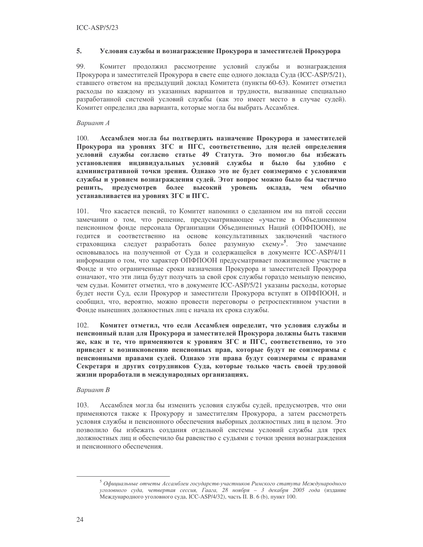#### 5. Условия службы и вознаграждение Прокурора и заместителей Прокурора

99. Комитет продолжил рассмотрение условий службы и вознаграждения Прокурора и заместителей Прокурора в свете еще одного доклада Суда (ICC-ASP/5/21), ставшего ответом на предыдущий доклад Комитета (пункты 60-63). Комитет отметил расходы по каждому из указанных вариантов и трудности, вызванные специально разработанной системой условий службы (как это имеет место в случае судей). Комитет определил два варианта, которые могла бы выбрать Ассамблея.

### Вариант А

 $100.$ Ассамблея могла бы подтвердить назначение Прокурора и заместителей Прокурора на уровнях ЗГС и ПГС, соответственно, для целей определения условий службы согласно статье 49 Статута. Это помогло бы избежать установления индивидуальных условий службы и было бы удобно с административной точки зрения. Однако это не будет соизмеримо с условиями службы и уровнем вознаграждения судей. Этот вопрос можно было бы частично решить, предусмотрев более высокий уровень оклада, чем обычно устанавливается на уровнях ЗГС и ПГС.

Что касается пенсий, то Комитет напомнил о сделанном им на пятой сессии 101. замечании о том, что решение, предусматривающее «участие в Объединенном пенсионном фонде персонала Организации Объединенных Наций (ОПФПООН), не годится и соответственно на основе консультативных заключений частного страховщика следует разработать более разумную схему»<sup>5</sup>. Это замечание основывалось на полученной от Суда и содержащейся в документе ICC-ASP/4/11 информации о том, что характер ОПФПООН предусматривает пожизненное участие в Фонде и что ограниченные сроки назначения Прокурора и заместителей Прокурора означают, что эти лица будут получать за свой срок службы гораздо меньшую пенсию, чем судьи. Комитет отметил, что в документе ICC-ASP/5/21 указаны расходы, которые будет нести Суд, если Прокурор и заместители Прокурора вступят в ОПФПООН, и сообщил, что, вероятно, можно провести переговоры о ретроспективном участии в Фонде нынешних должностных лиц с начала их срока службы.

 $102.$ Комитет отметил, что если Ассамблея определит, что условия службы и пенсионный план для Прокурора и заместителей Прокурора должны быть такими же, как и те, что применяются к уровням ЗГС и ПГС, соответственно, то это приведет к возникновению пенсионных прав, которые будут не соизмеримы с пенсионными правами судей. Однако эти права будут соизмеримы с правами Секретаря и других сотрудников Суда, которые только часть своей трудовой жизни проработали в международных организациях.

### Вариант В

103. Ассамблея могла бы изменить условия службы судей, предусмотрев, что они применяются также к Прокурору и заместителям Прокурора, а затем рассмотреть условия службы и пенсионного обеспечения выборных должностных лиц в целом. Это позволило бы избежать создания отдельной системы условий службы для трех должностных лиц и обеспечило бы равенство с судьями с точки зрения вознаграждения и пенсионного обеспечения.

 $5$  Официальные отчеты Ассамблеи государств-участников Римского статута Международного уголовного суда, четвертая сессия, Гаага, 28 ноября - 3 декабря 2005 года (издание Международного уголовного суда, ICC-ASP/4/32), часть II. В. 6 (b), пункт 100.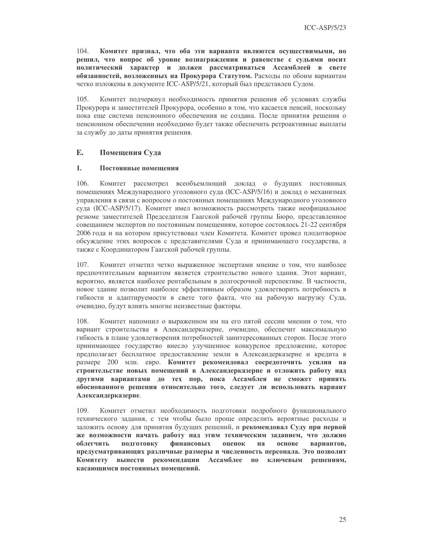$104.$ Комитет признал, что оба эти варианта являются осуществимыми, но решил, что вопрос об уровне вознаграждения и равенстве с судьями носит политический характер и должен рассматриваться Ассамблеей в свете обязанностей, возложенных на Прокурора Статутом. Расходы по обоим вариантам четко изложены в документе ICC-ASP/5/21, который был представлен Судом.

Комитет подчеркнул необходимость принятия решения об условиях службы  $105.$ Прокурора и заместителей Прокурора, особенно в том, что касается пенсий, поскольку пока еще система пенсионного обеспечения не создана. После принятия решения о пенсионном обеспечении необходимо будет также обеспечить ретроактивные выплаты за службу до даты принятия решения.

#### E. Помещения Суда

#### $1.$ Постоянные помещения

106. Комитет рассмотрел всеобъемлющий доклад о будущих постоянных помещениях Международного уголовного суда (ICC-ASP/5/16) и доклад о механизмах управления в связи с вопросом о постоянных помещениях Международного уголовного суда (ICC-ASP/5/17). Комитет имел возможность рассмотреть также неофициальное резюме заместителей Председателя Гаагской рабочей группы Бюро, представленное совещанием экспертов по постоянным помещениям, которое состоялось 21-22 сентября 2006 года и на котором присутствовал член Комитета. Комитет провел плодотворное обсуждение этих вопросов с представителями Суда и принимающего государства, а также с Координатором Гаагской рабочей группы.

Комитет отметил четко выраженное экспертами мнение о том, что наиболее 107 предпочтительным вариантом является строительство нового здания. Этот вариант, вероятно, является наиболее рентабельным в долгосрочной перспективе. В частности, новое здание позволит наиболее эффективным образом удовлетворить потребность в гибкости и адаптируемости в свете того факта, что на рабочую нагрузку Суда, очевидно, будут влиять многие неизвестные факторы.

108. Комитет напомнил о выраженном им на его пятой сессии мнении о том, что вариант строительства в Александерказерне, очевидно, обеспечит максимальную гибкость в плане удовлетворения потребностей заинтересованных сторон. После этого принимающее государство внесло улучшенное конкурсное предложение, которое предполагает бесплатное предоставление земли в Александерказерне и кредита в размере 200 млн. евро. Комитет рекомендовал сосредоточить усилия на строительстве новых помещений в Александерказерне и отложить работу над другими вариантами до тех пор, пока Ассамблея не сможет принять обоснованного решения относительно того, следует ли использовать вариант Александерказерне.

109. Комитет отметил необходимость подготовки подробного функционального технического задания, с тем чтобы было проще определить вероятные расходы и заложить основу для принятия будущих решений, и рекомендовал Суду при первой же возможности начать работу над этим техническим заданием, что должно облегчить подготовку финансовых оценок основе на вариантов, предусматривающих различные размеры и численность персонала. Это позволит **Комитету** вынести рекомендации Ассамблее по ключевым решениям, касающимся постоянных помещений.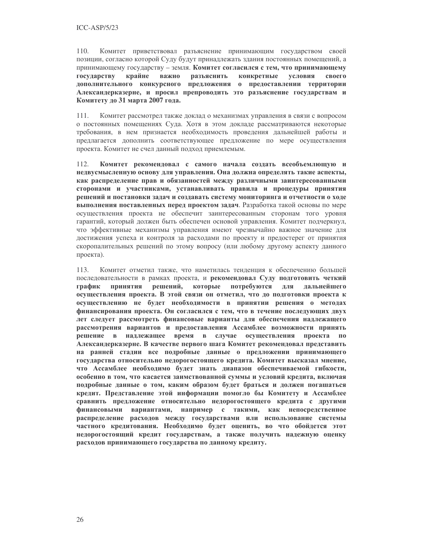$110.$ Комитет приветствовал разъяснение принимающим государством своей позиции, согласно которой Суду будут принадлежать здания постоянных помещений, а принимающему государству - земля. Комитет согласился с тем, что принимающему государству крайне важно разъяснить конкретные условия своего дополнительного конкурсного предложения о предоставлении территории Александерказерне, и просил препроводить это разъяснение государствам и Комитету до 31 марта 2007 года.

111. Комитет рассмотрел также доклад о механизмах управления в связи с вопросом о постоянных помещениях Суда. Хотя в этом докладе рассматриваются некоторые требования, в нем признается необходимость проведения дальнейшей работы и предлагается дополнить соответствующее предложение по мере осуществления проекта. Комитет не счел данный подход приемлемым.

112. Комитет рекомендовал с самого начала создать всеобъемлющую и недвусмысленную основу для управления. Она должна определять такие аспекты, как распределение прав и обязанностей между различными заинтересованными сторонами и участниками, устанавливать правила и процедуры принятия решений и постановки задач и создавать систему мониторинга и отчетности о ходе выполнения поставленных перед проектом задач. Разработка такой основы по мере осуществления проекта не обеспечит заинтересованным сторонам того уровня гарантий, который должен быть обеспечен основой управления. Комитет подчеркнул, что эффективные механизмы управления имеют чрезвычайно важное значение для достижения успеха и контроля за расходами по проекту и предостерег от принятия скоропалительных решений по этому вопросу (или любому другому аспекту данного проекта).

Комитет отметил также, что наметилась тенденция к обеспечению большей  $113.$ последовательности в рамках проекта, и рекомендовал Суду подготовить четкий ПРИНЯТИЯ решений, которые потребуются для график лальнейшего осуществления проекта. В этой связи он отметил, что до подготовки проекта к осуществлению не будет необходимости в принятии решения о методах финансирования проекта. Он согласился с тем, что в течение последующих двух лет следует рассмотреть финансовые варианты для обеспечения надлежащего рассмотрения вариантов и предоставления Ассамблее возможности принять решение в надлежащее время в случае осуществления проекта по Александерказерне. В качестве первого шага Комитет рекомендовал представить на ранней стадии все подробные данные о предложении принимающего государства относительно недорогостоящего кредита. Комитет высказал мнение, что Ассамблее необходимо будет знать диапазон обеспечиваемой гибкости, особенно в том, что касается заимствованной суммы и условий кредита, включая подробные данные о том, каким образом будет браться и должен погашаться кредит. Представление этой информации помогло бы Комитету и Ассамблее сравнить предложение относительно недорогостоящего кредита с другими финансовыми вариантами, например с такими, как непосредственное распределение расходов между государствами или использование системы частного кредитования. Необходимо будет оценить, во что обойдется этот недорогостоящий кредит государствам, а также получить надежную оценку расходов принимающего государства по данному кредиту.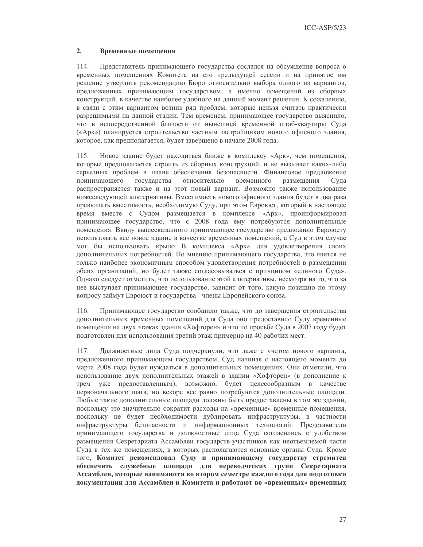$ICC-ASP/5/23$ 

#### $2.$ Временные помещения

114. Представитель принимающего государства сослался на обсуждение вопроса о временных помещениях Комитета на его предыдущей сессии и на принятое им решение утвердить рекомендацию Бюро относительно выбора одного из вариантов, предложенных принимающим государством, а именно помещений из сборных конструкций, в качестве наиболее удобного на данный момент решения. К сожалению, в связи с этим вариантом возник ряд проблем, которые нельзя считать практически разрешимыми на данной стадии. Тем временем, принимающее государство выяснило, что в непосредственной близости от нынешней временной штаб-квартиры Суда («Арк») планируется строительство частным застройщиком нового офисного здания, которое, как предполагается, будет завершено в начале 2008 года.

Новое здание будет находиться ближе к комплексу «Арк», чем помещения,  $115.$ которые предполагается строить из сборных конструкций, и не вызывает каких-либо серьезных проблем в плане обеспечения безопасности. Финансовое предложение принимающего государства относительно временного размешения  $Cv<sub>II</sub>$ распространяется также и на этот новый вариант. Возможно также использование нижеследующей альтернативы. Вместимость нового офисного здания будет в два раза превышать вместимость, необходимую Суду, при этом Евроюст, который в настоящее время вместе с Судом размещается в комплексе «Арк», проинформировал принимающее государство, что с 2008 года ему потребуются дополнительные помещения. Ввиду вышесказанного принимающее государство предложило Евроюсту использовать все новое здание в качестве временных помещений, а Суд в этом случае мог бы использовать крыло В комплекса «Арк» для удовлетворения своих дополнительных потребностей. По мнению принимающего государства, это явится не только наиболее экономичным способом удовлетворения потребностей в размещении обеих организаций, но будет также согласовываться с принципом «единого Суда». Однако следует отметить, что использование этой альтернативы, несмотря на то, что за нее выступает принимающее государство, зависит от того, какую позицию по этому вопросу займут Евроюст и государства - члены Европейского союза.

Принимающее государство сообщило также, что до завершения строительства 116. дополнительных временных помещений для Суда оно предоставило Суду временные помещения на двух этажах здания «Хофторен» и что по просьбе Суда в 2007 году будет подготовлен для использования третий этаж примерно на 40 рабочих мест.

Должностные лица Суда подчеркнули, что даже с учетом нового варианта, 117. предложенного принимающим государством, Суд начиная с настоящего момента до марта 2008 года будет нуждаться в дополнительных помещениях. Они отметили, что использование двух дополнительных этажей в здании «Хофторен» (в дополнение к трем уже предоставленным), возможно, будет целесообразным в качестве первоначального шага, но вскоре все равно потребуются дополнительные площади. Любые такие дополнительные площади должны быть предоставлены в том же здании, поскольку это значительно сократит расходы на «временные» временные помещения, поскольку не будет необходимости дублировать инфраструктуры, в частности инфраструктуры безопасности и информационных технологий. Представители принимающего государства и должностные лица Суда согласились с удобством размещения Секретариата Ассамблеи государств-участников как неотъемлемой части Суда в тех же помещениях, в которых располагаются основные органы Суда. Кроме того, Комитет рекомендовал Суду и принимающему государству стремится обеспечить служебные площади для переводческих групп Секретариата Ассамблеи, которые нанимаются во втором семестре каждого года для подготовки документации для Ассамблеи и Комитета и работают во «временных» временных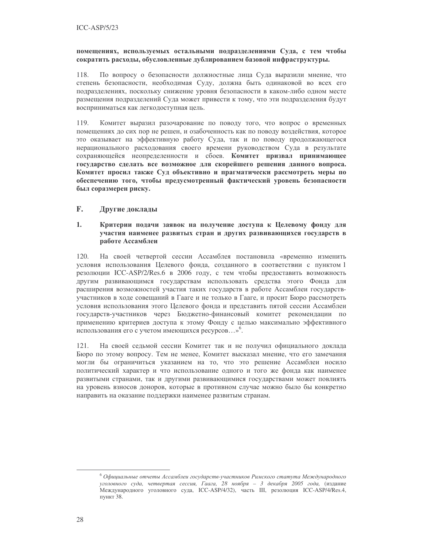### помещениях, используемых остальными подразделениями Суда, с тем чтобы сократить расходы, обусловленные дублированием базовой инфраструктуры.

118. По вопросу о безопасности должностные лица Суда выразили мнение, что степень безопасности, необходимая Суду, должна быть одинаковой во всех его подразделениях, поскольку снижение уровня безопасности в каком-либо одном месте размещения подразделений Суда может привести к тому, что эти подразделения будут восприниматься как легкодоступная цель.

119. Комитет выразил разочарование по поводу того, что вопрос о временных помещениях до сих пор не решен, и озабоченность как по поводу воздействия, которое это оказывает на эффективную работу Суда, так и по поводу продолжающегося нерационального расходования своего времени руководством Суда в результате сохраняющейся неопределенности и сбоев. Комитет призвал принимающее государство сделать все возможное для скорейшего решения данного вопроса. Комитет просил также Суд объективно и прагматически рассмотреть меры по обеспечению того, чтобы предусмотренный фактический уровень безопасности был соразмерен риску.

#### $\mathbf{F}$ . Другие доклады

### $1.$ Критерии подачи заявок на получение доступа к Целевому фонду для участия наименее развитых стран и других развивающихся государств в работе Ассамблеи

120. На своей четвертой сессии Ассамблея постановила «временно изменить условия использования Целевого фонда, созданного в соответствии с пунктом 1 резолюции ICC-ASP/2/Res.6 в 2006 году, с тем чтобы предоставить возможность другим развивающимся государствам использовать средства этого Фонда для расширения возможностей участия таких государств в работе Ассамблеи государствучастников в ходе совещаний в Гааге и не только в Гааге, и просит Бюро рассмотреть условия использования этого Целевого фонда и представить пятой сессии Ассамблеи государств-участников через Бюджетно-финансовый комитет рекомендации по применению критериев доступа к этому Фонду с целью максимально эффективного использования его с учетом имеющихся ресурсов...»<sup>6</sup>.

На своей седьмой сессии Комитет так и не получил официального доклада 121. Бюро по этому вопросу. Тем не менее, Комитет высказал мнение, что его замечания могли бы ограничиться указанием на то, что это решение Ассамблеи носило политический характер и что использование одного и того же фонда как наименее развитыми странами, так и другими развивающимися государствами может повлиять на уровень взносов доноров, которые в противном случае можно было бы конкретно направить на оказание поддержки наименее развитым странам.

 $6$  Официальные отчеты Ассамблеи государств-участников Римского статута Международного уголовного суда, четвертая сессия, Гаага, 28 ноября - 3 декабря 2005 года, (издание Международного уголовного суда, ICC-ASP/4/32), часть III, резолюция ICC-ASP/4/Res.4, пункт 38.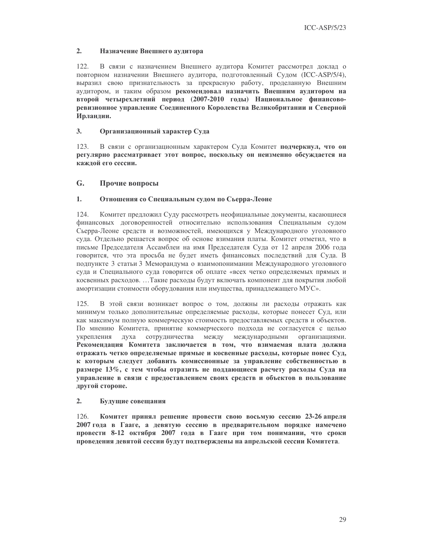#### $2.$ Назначение Внешнего аудитора

 $122.$ В связи с назначением Внешнего аудитора Комитет рассмотрел доклад о повторном назначении Внешнего аудитора, подготовленный Судом (ICC-ASP/5/4), выразил свою признательность за прекрасную работу, проделанную Внешним аудитором, и таким образом рекомендовал назначить Внешним аудитором на второй четырехлетний период (2007-2010 годы) Национальное финансоворевизионное управление Соединенного Королевства Великобритании и Северной Ирландии.

#### $3<sub>1</sub>$ Организационный характер Суда

 $123$ В связи с организационным характером Суда Комитет подчеркнул, что он регулярно рассматривает этот вопрос, поскольку он неизменно обсуждается на кажлой его сессии.

#### G. Прочие вопросы

#### $1.$ Отношения со Специальным судом по Сьерра-Леоне

124. Комитет предложил Суду рассмотреть неофициальные документы, касающиеся финансовых договоренностей относительно использования Специальным судом Сьерра-Леоне средств и возможностей, имеющихся у Международного уголовного суда. Отдельно решается вопрос об основе взимания платы. Комитет отметил, что в письме Председателя Ассамблеи на имя Председателя Суда от 12 апреля 2006 года говорится, что эта просьба не будет иметь финансовых последствий для Суда. В подпункте 3 статьи 3 Меморандума о взаимопонимании Международного уголовного суда и Специального суда говорится об оплате «всех четко определяемых прямых и косвенных расходов. ... Такие расходы будут включать компонент для покрытия любой амортизации стоимости оборудования или имущества, принадлежащего МУС».

В этой связи возникает вопрос о том, должны ли расходы отражать как  $125.$ минимум только дополнительные определяемые расходы, которые понесет Суд, или как максимум полную коммерческую стоимость предоставляемых средств и объектов. По мнению Комитета, принятие коммерческого подхода не согласуется с целью укрепления сотрудничества между международными духа организациями. Рекомендация Комитета заключается в том, что взимаемая плата должна отражать четко определяемые прямые и косвенные расходы, которые понес Суд, к которым следует добавить комиссионные за управление собственностью в размере 13%, с тем чтобы отразить не поддающиеся расчету расходы Суда на управление в связи с предоставлением своих средств и объектов в пользование другой стороне.

#### $2.$ Будущие совещания

126. Комитет принял решение провести свою восьмую сессию 23-26 апреля 2007 года в Гааге, а девятую сессию в предварительном порядке намечено провести 8-12 октября 2007 года в Гааге при том понимании, что сроки проведения девятой сессии будут подтверждены на апрельской сессии Комитета.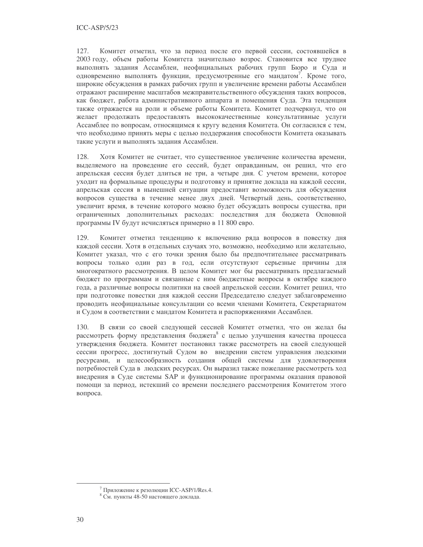127. Комитет отметил, что за период после его первой сессии, состоявшейся в 2003 году, объем работы Комитета значительно возрос. Становится все труднее выполнять задания Ассамблеи, неофициальных рабочих групп Бюро и Суда и одновременно выполнять функции, предусмотренные его мандатом<sup>7</sup>. Кроме того, широкие обсуждения в рамках рабочих групп и увеличение времени работы Ассамблеи отражают расширение масштабов межправительственного обсуждения таких вопросов, как бюджет, работа административного аппарата и помещения Суда. Эта тенденция также отражается на роли и объеме работы Комитета. Комитет подчеркнул, что он желает продолжать предоставлять высококачественные консультативные услуги Ассамблее по вопросам, относящимся к кругу ведения Комитета. Он согласился с тем, что необходимо принять меры с целью поддержания способности Комитета оказывать такие услуги и выполнять задания Ассамблеи.

128. Хотя Комитет не считает, что существенное увеличение количества времени, выделяемого на проведение его сессий, будет оправданным, он решил, что его апрельская сессия будет длиться не три, а четыре дня. С учетом времени, которое уходит на формальные процедуры и подготовку и принятие доклада на каждой сессии, апрельская сессия в нынешней ситуации предоставит возможность для обсуждения вопросов существа в течение менее двух дней. Четвертый день, соответственно, увеличит время, в течение которого можно будет обсуждать вопросы существа, при ограниченных дополнительных расходах: последствия для бюджета Основной программы IV будут исчисляться примерно в 11 800 евро.

129. Комитет отметил тенденцию к включению ряда вопросов в повестку дня каждой сессии. Хотя в отдельных случаях это, возможно, необходимо или желательно, Комитет указал, что с его точки зрения было бы предпочтительнее рассматривать вопросы только один раз в год, если отсутствуют серьезные причины для многократного рассмотрения. В целом Комитет мог бы рассматривать предлагаемый бюджет по программам и связанные с ним бюджетные вопросы в октябре каждого года, а различные вопросы политики на своей апрельской сессии. Комитет решил, что при подготовке повестки дня каждой сессии Председателю следует заблаговременно проводить неофициальные консультации со всеми членами Комитета, Секретариатом и Судом в соответствии с мандатом Комитета и распоряжениями Ассамблеи.

В связи со своей следующей сессией Комитет отметил, что он желал бы 130. рассмотреть форму представления бюджета<sup>8</sup> с целью улучшения качества процесса утверждения бюджета. Комитет постановил также рассмотреть на своей следующей сессии прогресс, достигнутый Судом во внедрении систем управления людскими ресурсами, и целесообразность создания общей системы для удовлетворения потребностей Суда в людских ресурсах. Он выразил также пожелание рассмотреть ход внедрения в Суде системы SAP и функционирование программы оказания правовой помощи за период, истекший со времени последнего рассмотрения Комитетом этого вопроса.

<sup>&</sup>lt;sup>7</sup> Приложение к резолюции ICC-ASP/1/Res.4.

<sup>&</sup>lt;sup>8</sup> См. пункты 48-50 настоящего доклада.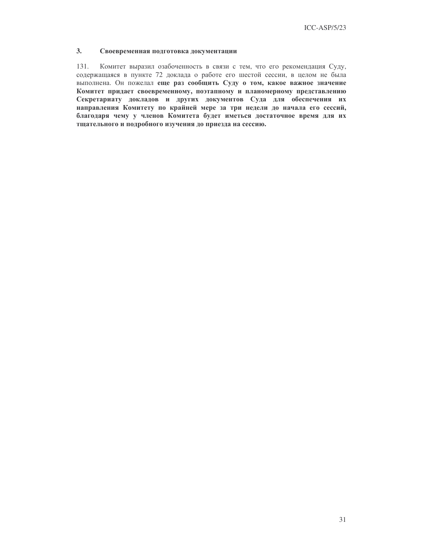#### $3<sub>1</sub>$ Своевременная подготовка документации

131. Комитет выразил озабоченность в связи с тем, что его рекомендация Суду, содержащаяся в пункте 72 доклада о работе его шестой сессии, в целом не была выполнена. Он пожелал еще раз сообщить Суду о том, какое важное значение Комитет придает своевременному, поэтапному и планомерному представлению Секретариату докладов и других документов Суда для обеспечения их направления Комитету по крайней мере за три недели до начала его сессий, благодаря чему у членов Комитета будет иметься достаточное время для их тщательного и подробного изучения до приезда на сессию.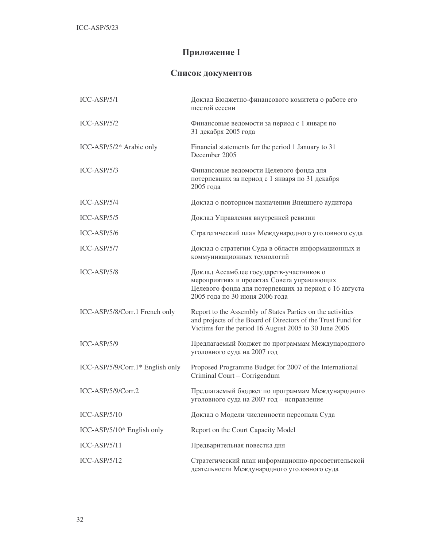# Приложение I

## Список документов

| $ICC-ASP/5/1$                      | Доклад Бюджетно-финансового комитета о работе его<br>шестой сессии                                                                                                                  |
|------------------------------------|-------------------------------------------------------------------------------------------------------------------------------------------------------------------------------------|
| $ICC-ASP/5/2$                      | Финансовые ведомости за период с 1 января по<br>31 декабря 2005 года                                                                                                                |
| ICC-ASP/5/2* Arabic only           | Financial statements for the period 1 January to 31<br>December 2005                                                                                                                |
| $ICC-ASP/5/3$                      | Финансовые ведомости Целевого фонда для<br>потерпевших за период с 1 января по 31 декабря<br>2005 года                                                                              |
| $ICC-ASP/5/4$                      | Доклад о повторном назначении Внешнего аудитора                                                                                                                                     |
| $ICC-ASP/5/5$                      | Доклад Управления внутренней ревизии                                                                                                                                                |
| $ICC-ASP/5/6$                      | Стратегический план Международного уголовного суда                                                                                                                                  |
| ICC-ASP/5/7                        | Доклад о стратегии Суда в области информационных и<br>коммуникационных технологий                                                                                                   |
| ICC-ASP/5/8                        | Доклад Ассамблее государств-участников о<br>мероприятиях и проектах Совета управляющих<br>Целевого фонда для потерпевших за период с 16 августа<br>2005 года по 30 июня 2006 года   |
| ICC-ASP/5/8/Corr.1 French only     | Report to the Assembly of States Parties on the activities<br>and projects of the Board of Directors of the Trust Fund for<br>Victims for the period 16 August 2005 to 30 June 2006 |
| $ICC-ASP/5/9$                      | Предлагаемый бюджет по программам Международного<br>уголовного суда на 2007 год                                                                                                     |
| $ICC-ASP/5/9/Corr.1* English only$ | Proposed Programme Budget for 2007 of the International<br>Criminal Court - Corrigendum                                                                                             |
| ICC-ASP/5/9/Corr.2                 | Предлагаемый бюджет по программам Международного<br>уголовного суда на 2007 год - исправление                                                                                       |
| $ICC-ASP/5/10$                     | Доклад о Модели численности персонала Суда                                                                                                                                          |
| ICC-ASP/5/10* English only         | Report on the Court Capacity Model                                                                                                                                                  |
| $ICC-ASP/5/11$                     | Предварительная повестка дня                                                                                                                                                        |
| $ICC-ASP/5/12$                     | Стратегический план информационно-просветительской<br>деятельности Международного уголовного суда                                                                                   |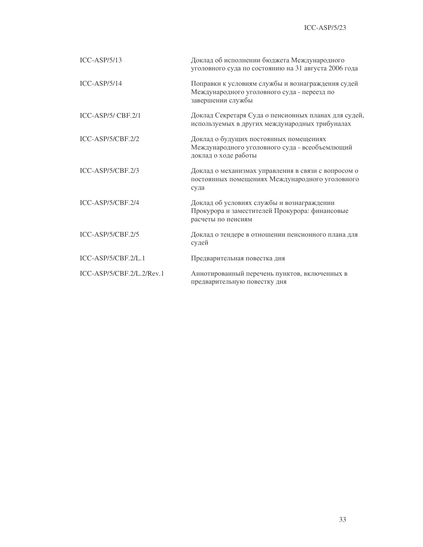| $ICC-ASP/5/13$              | Доклад об исполнении бюджета Международного<br>уголовного суда по состоянию на 31 августа 2006 года                   |
|-----------------------------|-----------------------------------------------------------------------------------------------------------------------|
| $ICC-ASP/5/14$              | Поправки к условиям службы и вознаграждения судей<br>Международного уголовного суда - переезд по<br>завершении службы |
| $ICC-ASP/5/CBF.2/1$         | Доклад Секретаря Суда о пенсионных планах для судей,<br>используемых в других международных трибуналах                |
| $ICC-ASP/5/CBF.2/2$         | Доклад о будущих постоянных помещениях<br>Международного уголовного суда - всеобъемлющий<br>доклад о ходе работы      |
| $ICC-ASP/5/CBF.2/3$         | Доклад о механизмах управления в связи с вопросом о<br>постоянных помещениях Международного уголовного<br>суда        |
| ICC-ASP/5/CBF.2/4           | Доклад об условиях службы и вознаграждении<br>Прокурора и заместителей Прокурора: финансовые<br>расчеты по пенсиям    |
| $ICC-ASP/5/CBF.2/5$         | Доклад о тендере в отношении пенсионного плана для<br>судей                                                           |
| $ICC-ASP/5/CBF.2/L.1$       | Предварительная повестка дня                                                                                          |
| $ICC-ASP/5/CBF.2/L.2/Rev.1$ | Аннотированный перечень пунктов, включенных в<br>предварительную повестку дня                                         |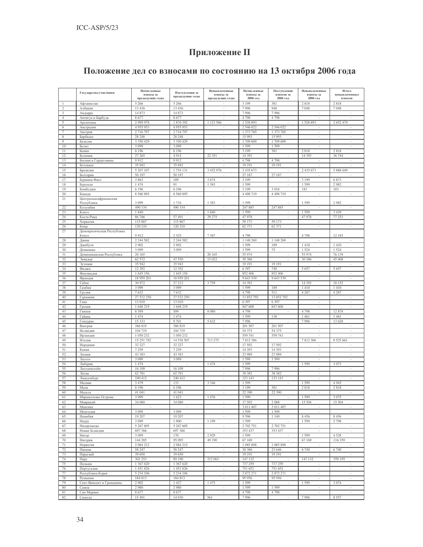# Приложение II

## Положение дел со взносами по состоянию на 13 октября 2006 года

|                |                            | Начисленные       |                                   | Невыплаченные            | Начисленные        | Поступления       | Невыплаченные                  | Итого                    |
|----------------|----------------------------|-------------------|-----------------------------------|--------------------------|--------------------|-------------------|--------------------------------|--------------------------|
|                | Государства-участники      | взносы за         | Поступления за<br>предыдущие годы | взносы за                | взносы за          | взносов за        | взносы за                      | невыплаченных            |
|                |                            | предыдущие годы   |                                   | предыдущие годы          | 2006 год           | 2006 год          | 2006 год                       | взносов                  |
|                | Афганистан                 | 5 2 6 6           | 5 2 6 6                           |                          | 3 1 9 9            | 381               | 2818                           | 2818                     |
| 2              | Албания                    | 13 4 36           | 13 4 36                           | $\sim$                   | 7996               | 948               | 7048                           | 7048                     |
| 3              | Андорра                    | 14 873            | 14 873                            |                          | 7996               | 7996              |                                |                          |
| $\overline{4}$ | Антигуа и Барбуда          | 8677              | 8677                              |                          | 4798               | 4798              |                                |                          |
| 5              | Аргентина                  | 2 999 978         | 1 876 392                         | 1 123 586                | 1528893            |                   | 1528893                        | 2 652 479                |
| 6              | Австралия                  | 4 9 5 5 9 5 3     | 4 9 5 5 9 5 3                     |                          | 2 546 022          | 2 546 022         |                                |                          |
| $\overline{7}$ | Австрия                    | 2 7 1 6 7 9 7     | 2 716 797                         |                          | 1 373 765          | 1 373 765         |                                |                          |
| 8              | Барбадос                   | 28 24 8           | 28 24 8                           |                          | 15 9 93            | 15 9 93           |                                |                          |
| 9              | Бельгия                    | 3 350 429         | 3 350 429                         | ×                        | 1709 609           | 1709 609          | $\overline{\phantom{a}}$       | $\sim$                   |
| 10             | <b>Белиз</b>               | 3 0 9 9           | 3 0 9 9                           | ÷.                       | 1599               | 1599              | ÷.                             |                          |
| 11             | Бенин                      | 6 1 9 6           | 6 1 9 6                           |                          | 3 1 9 9            | 381               | 2818                           | 2818                     |
| 12             | Боливия                    | 27 265            | 4914                              | 22 35 1                  | 14 3 9 3           |                   | 14 3 9 3                       | 36 744                   |
| 13             | Босния и Герцеговина       | 9912              | 9912                              |                          | 4798               | 4798              |                                |                          |
| 14             | Ботсвана                   | 35 942            | 35 942                            |                          | 19 19 1            | 19 19 1           |                                |                          |
| 15             | Бразилия                   | 5 207 107         | 1 754 131                         | 3 452 976                | 2 4 3 5 6 7 3      |                   | 2 435 673                      | 5 888 649                |
| 16             | Болгария                   | 50 197            | 50 197                            |                          | 27 187             | 27 187            |                                |                          |
| 17             | Буркина-Фасо               | 3 8 6 3           | 189                               | 3674                     | 3 1 9 9            |                   | 3 1 9 9                        | 6873                     |
| 18             | Бурунди                    | 1 474             | 91                                | 1383                     | 1599               |                   | 1599                           | 2982                     |
| 19             | Камбоджи                   | 6 1 9 6           | 6 1 9 6                           | $\overline{\phantom{a}}$ | 3 1 9 9            | 3016              | 183                            | 183                      |
| 20             | Канада                     | 8 560 895         | 8 5 6 0 8 9 5                     | ÷.                       | 4 4 9 8 7 1 9      | 4 4 9 8 7 1 9     |                                |                          |
| 21             | Центральноафриканская      | 3 0 9 9           |                                   | 1 3 8 3                  | 1599               |                   | 1599                           | 2982                     |
| 22             | Республика<br>Колумбия     | 490 334           | 1716<br>490 334                   | $\sim$                   | 247 885            | 247 885           | $\sim$                         |                          |
| 23             | Конго                      | 1 8 4 0           |                                   | 1840                     | 1599               | ×,                | 1599                           | 3 4 3 9                  |
| 24             | Коста-Рика                 | 86 766            | 57 491                            | 29 27 5                  | 47 978             |                   | 47 978                         | 77 253                   |
| 25             | Хорватия                   | 115 867           | 115 867                           |                          | 59 173             | 59 173            |                                |                          |
| 26             | Кипр                       | 120 210           | 120 210                           | $\overline{\phantom{a}}$ | 62 371             | 62 371            | $\overline{\phantom{a}}$       | $\overline{\phantom{a}}$ |
| 27             | Демократическая Республика |                   |                                   |                          |                    |                   |                                |                          |
|                | Конго                      | 9912              | 2 5 2 5                           | 7387                     | 4798               |                   | 4798                           | 12 185                   |
| 28             | Дания                      | 2 2 4 5 8 2       | 2 244 582                         | $\overline{\phantom{a}}$ | 1 148 269          | 1 148 269         |                                |                          |
| 29             | Джибути                    | 2 9 0 2           | 2 9 0 2                           | $\sim$                   | 1599               | 189               | 1410                           | 1410                     |
| 30             | Доминика                   | 3 0 9 9           | 3 0 9 9                           |                          | 1599               | 75                | 1524                           | 1524                     |
| 31             | Доминиканская Республика   | 20 165            |                                   | 20 165                   | 55 974             |                   | 55 974                         | 76 139                   |
| 32             | Эквадор                    | 62 572            | 47 550                            | 15 022                   | 30 386             | $\sim$            | 30 386                         | 45 408                   |
| 33             | Эстония                    | 35 942            | 35 942                            | $\overline{\phantom{a}}$ | 19 19 1            | 19 19 1           | $\overline{\phantom{a}}$       |                          |
| 34             | Фиджи                      | 12 392            | 12 392                            |                          | 6397               | 740               | 5657                           | 5657                     |
| 35             | Финляндия                  | 1 645 156         | 1 645 156                         |                          | 852 406            | 852 406           |                                |                          |
| 36             | Франция                    | 18 959 201        | 18 959 201                        | ×                        | 9643539            | 9 643 539         | ×,                             |                          |
| 37             | Габон                      | 30 972            | 27 213                            | 3759                     | 14 3 9 3           |                   | 14 3 9 3                       | 18 15 2                  |
| 38             | Гамбия                     | 3 0 9 9           | 3 0 9 9                           |                          | 1599               | 189               | 1410                           | 1410                     |
| 39             | Грузия                     | 7632              | 7632                              | $\sim$                   | 4798               | 511               | 4 2 8 7                        | 4 2 8 7                  |
| 40             | Германия                   | 27 532 250        | 27 532 250                        |                          | 13 852 792         | 13 852 792        |                                |                          |
| 41             | Гана                       | 13 010            | 13 010                            | ÷                        | 6397               | 6 3 9 7           |                                |                          |
| 42             | Греция                     | 1 648 219         | 1 648 219                         | $\sim$                   | 847 608            | 847 608           | $\overline{\phantom{a}}$       |                          |
| 43             | Гвинея                     | 8589              | 509                               | 8 0 8 0                  | 4798               |                   | 4798                           | 12878                    |
| 44             | Гайана                     | 1 474             | 1 474                             | ÷.                       | 1599               | 138               | 1461                           | 1461                     |
| 45             | Гондурас                   | 15 333            | 9 7 0 1                           | 5 6 3 2                  | 7996               |                   | 7996                           | 13 628                   |
| 46             | Венгрия                    | 386 819           | 386 819                           | $\overline{\phantom{a}}$ | 201 507            | 201 507           | $\overline{\phantom{a}}$       | $\overline{\phantom{a}}$ |
| 47             | Исландия                   | 104 719           | 104 719                           |                          | 54 375             | 54 375            |                                |                          |
| 48             | Ирландия                   | 1 050 232         | 1 050 232                         | $\overline{\phantom{a}}$ | 559 741            | 559741            |                                |                          |
| 49             | Италия                     | 15 251 782        | 14 538 507                        | 713 275                  | 7812386            |                   | 7812386                        | 8 5 25 6 61              |
| 50             | Иордания                   | 32 227            | 32 227                            |                          | 17 592             | 17592             |                                |                          |
| 51             | Кения                      | 7 2 5 9           | 7 2 5 9                           |                          | 14 3 9 3           | 14 3 9 3          |                                |                          |
| 52             | Латвия                     | 43 383            | 43 383                            |                          | 23 989             | 23 989            |                                |                          |
| 53             | Лесото                     | 3 0 9 9           | 3 0 9 9                           | $\overline{\phantom{a}}$ | 1599               | 1599              | $\overline{\phantom{a}}$       | $\overline{\phantom{a}}$ |
| 54             | Либерия                    | 1 474             |                                   | 1474                     | 1599               |                   | 1599                           | 3073                     |
| 55             | Лихтенштейн                | 16 109            | 16 109                            |                          | 7996               | 7996              |                                |                          |
| 56<br>57       | Литва<br>Люксембург        | 62 781<br>240 412 | 62 781<br>240 412                 | $\overline{\phantom{a}}$ | 38 38 2<br>123 143 | 38 382<br>123 143 | $\overline{\phantom{a}}$<br>×, | $\sim$                   |
| 58             |                            | 3 4 7 9           | 133                               | 3 3 4 6                  | 1599               |                   | 1599                           | 4945                     |
| 59             | Малави<br>Мали             | 6 1 9 6           | 6 1 9 6                           | $\sim$                   | 3 1 9 9            | 381               | 2818                           | 2818                     |
| 60             | Мальта                     | 41 041            | 41 041                            | $\overline{\phantom{a}}$ | 22 390             | 22 390            | $\overline{\phantom{a}}$       | $\overline{\phantom{a}}$ |
|                |                            | 3 09              |                                   | 476                      | 1599               |                   | 1.500                          | 3075                     |
| 62             | Маврикий                   | 34 080            | 34 080                            |                          | 17 592             | 2088              | 15 504                         | 15 504                   |
| 63             | Мексика                    |                   |                                   | $\overline{\phantom{a}}$ | 3 011 407          | 3 011 407         | $\overline{\phantom{a}}$       |                          |
| 64             | Монголия                   | 3 0 9 9           | 3 0 9 9                           | ÷.                       | 1599               | 1599              | ×,                             |                          |
| 65             | Намибия                    | 19 20 7           | 19 207                            | $\overline{\phantom{a}}$ | 9596               | 1 1 4 0           | 8 4 5 6                        | 8 4 5 6                  |
| 66             | Haypy                      | 3 0 9 9           | 1 900                             | 1 1 9 9                  | 1599               |                   | 1599                           | 2798                     |
| 67             | Нидерланды                 | 5 267 605         | 5 267 605                         |                          | 2 702 751          | 2 702 751         |                                |                          |
| 68             | Новая Зеландия             | 697 366           | 697 366                           |                          | 353 437            | 353 437           |                                |                          |
| 69             | Нигер                      | 3 0 9 9           | 170                               | 2929                     | 1599               |                   | 1599                           | 4528                     |
| 70             | Нигерия                    | 144 285           | 95 095                            | 49 190                   | 67 169             | $\sim$            | 67 169                         | 116 359                  |
| 71             | Норвегия                   | 2 084 212         | 2 084 212                         |                          | 1085898            | 1 085 898         |                                |                          |
| 72             | Панама                     | 58 247            | 58 247                            |                          | 30 386             | 23 646            | 6 7 4 0                        | 6 7 4 0                  |
| 73             | Парагвай                   | 39 650            | 39 650                            | $\sim$                   | 19 19 1            | 19 19 1           | $\sim$                         | $\sim$                   |
| 74             | Перу                       | 301 253           | 89 190                            | 212 063                  | 147 132            |                   | 147 132                        | 359 195                  |
| 75             | Польша                     | 1 367 620         | 1 367 620                         | $\overline{\phantom{a}}$ | 737 259            | 737 259           |                                |                          |
| 76             | Португалия                 | 1 451 826         | 1 451 826                         | $\overline{\phantom{a}}$ | 751 652            | 751 652           | $\overline{\phantom{a}}$       | $\sim$                   |
| 77             | Республика Корея           | 5 234 106         | 5 234 106                         | ×.                       | 2872271            | 2 872 271         | $\sim$                         |                          |
| 78             | Румыния                    | 184 813           | 184 813                           | ÷                        | 95 95 6            | 95 956            | $\sim$                         |                          |
| 79             | Сент-Винсент и Гренадины   | 2 9 0 2           | 1 427                             | 1475                     | 1599               |                   | 1599                           | 3 0 7 4                  |
| $80\,$         | Самоа                      | 2980              | 2980                              | $\overline{\phantom{a}}$ | 1599               | 1599              | $\overline{\phantom{a}}$       | $\overline{\phantom{a}}$ |
| 81             | Сан-Марино                 | 8677              | 8677                              | ÷.                       | 4798               | 4798              | ×                              |                          |
| 82             | Сенегал                    | 15 491            | 14 9 30                           | 561                      | 7996               |                   | 7996                           | 8557                     |